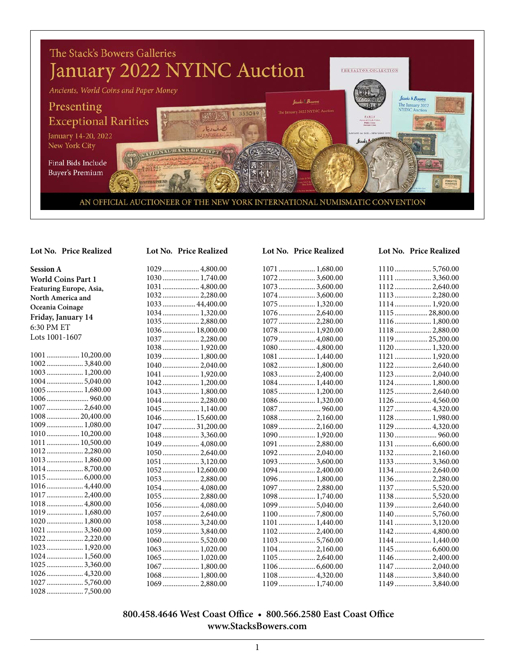

#### **Session A World Coins Part 1 Featuring Europe, Asia, North America and Oceania Coinage Friday, January 14** 6:30 PM ET Lots 1001-1607 .................. 10,200.00 .................... 3,840.00 .................... 1,200.00 .................... 5,040.00 .................... 1,680.00 ....................... 960.00 .................... 2,640.00 .................. 20,400.00 .................... 1,080.00 .................. 10,200.00 .................. 10,500.00 .................... 2,280.00 .................... 1,860.00 .................... 8,700.00 .................... 6,000.00 .................... 4,440.00 .................... 2,400.00 .................... 4,800.00 .................... 1,680.00 .................... 1,800.00 .................... 3,360.00 .................... 2,220.00 .................... 1,920.00 .................... 1,560.00 .................... 3,360.00 .................... 4,320.00 .................... 5,760.00

.................... 7,500.00

| Lot No. Price Realized |
|------------------------|
| 1029 4,800.00          |
| 1030 1,740.00          |
| 1031 4,800.00          |
| 10322,280.00           |
| 1033 44,400.00         |
| 1034 1,320.00          |
| 1035 2,880.00          |
| 1036 18,000.00         |
| 10372,280.00           |
| 1038 1,920.00          |
| 1039 1,800.00          |
|                        |
| 1041  1,920.00         |
| 1042 1,200.00          |
| 1043 1,800.00          |
| 10442,280.00           |
| 1045  1,140.00         |
| 1046 15,600.00         |
| 1047  31,200.00        |
| 10483,360.00           |
| 1049 4,080.00          |
| 10502,640.00           |
| 10513,120.00           |
| 1052 12,600.00         |
| 10532,880.00           |
| 1054 4,080.00          |
| 1055 2,880.00          |
| 1056 4,080.00          |
| 1057  2,640.00         |
| 10583,240.00           |
| $1059$ 3,840.00        |
| 10605,520.00           |
| 1063 1,020.00          |
|                        |
| 1067  1,800.00         |
| 1068 1,800.00          |

.................... 2,880.00

| Lot No. Price Realized |
|------------------------|
| 1071 1,680.00          |
| 10723,600.00           |
| 10733,600.00           |
| 10743,600.00           |
| 1075 1,320.00          |
| 1076  2,640.00         |
| 10772,280.00           |
| 1078 1,920.00          |
| 1079 4,080.00          |
| 1080 4,800.00          |
| 1081 1,440.00          |
| 1082 1,800.00          |
| 1083 2,400.00          |
| 1084 1,440.00          |
| 1085 1,200.00          |
| 1086 1,320.00          |
| 1087  960.00           |
|                        |
| 1089 2,160.00          |
| 1090 1,920.00          |
| 1091 2,880.00          |
|                        |
| $1093$ 3,600.00        |
| 1094 2,400.00          |
| 1096 1,800.00          |
| 1097  2,880.00         |
| 1098 1,740.00          |
| 10995,040.00           |
| 11007,800.00           |
| 1101 1,440.00          |
| 11022,400.00           |
| 11035,760.00           |
| 1104 2,160.00          |
| 1105 2,640.00          |
|                        |

 .................... 4,320.00 .................... 1,740.00

#### **Lot No. Price Realized Lot No. Price Realized Lot No. Price Realized Lot No. Price Realized**

| 1110 5,760.00   |  |
|-----------------|--|
| 11113,360.00    |  |
| 11122,640.00    |  |
| 11132,280.00    |  |
| 1114 1,920.00   |  |
| 111528,800.00   |  |
| 1116 1,800.00   |  |
| 1118 2,880.00   |  |
| 1119 25,200.00  |  |
| 1120 1,320.00   |  |
|                 |  |
|                 |  |
| 11232,040.00    |  |
| 1124 1,800.00   |  |
| 1125 2,640.00   |  |
| 1126 4,560.00   |  |
| 1127  4,320.00  |  |
| 1128 1,980.00   |  |
| 1129 4,320.00   |  |
|                 |  |
|                 |  |
|                 |  |
| 11333,360.00    |  |
| 11342,640.00    |  |
| 1136 2,280.00   |  |
| 11375,520.00    |  |
| 1138 5,520.00   |  |
| 11392,640.00    |  |
| 11405,760.00    |  |
| 11413,120.00    |  |
| 1142 4,800.00   |  |
|                 |  |
|                 |  |
| 11462,400.00    |  |
| 1147  2,040.00  |  |
| $1148$ 3.840.00 |  |

.................... 3,840.00

#### **800.458.4646 West Coast Office • 800.566.2580 East Coast Office www.StacksBowers.com**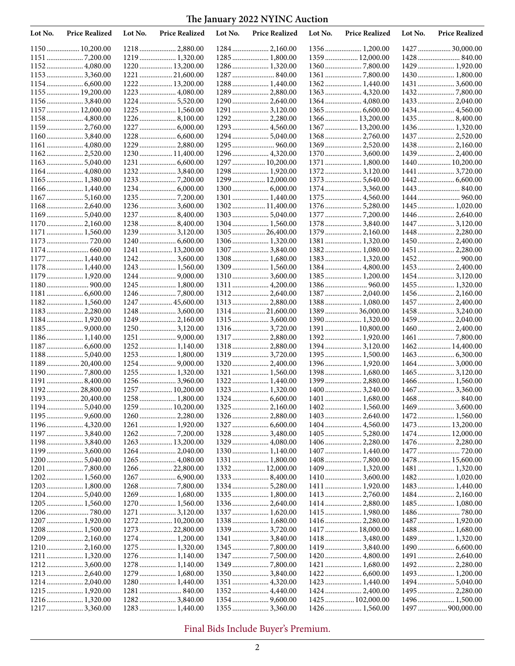| Lot No. | <b>Price Realized</b> | Lot No. | <b>Price Realized</b> | Lot No. | <b>Price Realized</b>            | Lot No. | <b>Price Realized</b>            | Lot No. | <b>Price Realized</b>            |
|---------|-----------------------|---------|-----------------------|---------|----------------------------------|---------|----------------------------------|---------|----------------------------------|
|         | 1150 10,200.00        |         | 1218 2,880.00         |         |                                  |         | 1356 1,200.00                    |         | 1427  30,000.00                  |
|         |                       |         | 1219  1,320.00        |         | 1285  1,800.00                   |         | 1359  12,000.00                  |         |                                  |
|         | 1152 4,080.00         |         | 1220  13,200.00       |         | 1286 1,320.00                    |         |                                  |         | 1429  1,920.00                   |
|         | 11533,360.00          |         | 1221  21,600.00       |         | 1287  840.00                     |         |                                  |         | 1430 1,800.00                    |
|         |                       |         | 1222  13,200.00       |         | 1288 1,440.00                    |         |                                  |         | 1431  3,600.00                   |
|         | 1155  19,200.00       |         | 1223  4,080.00        |         | 1289  2,880.00                   |         | 1363 4,320.00                    |         |                                  |
|         | 11563,840.00          |         | 1224  5,520.00        |         | 1290  2,640.00                   |         | 1364  4,080.00                   |         |                                  |
|         | 1157  12,000.00       |         | 1225  1,560.00        |         | 1291  3,120.00                   |         | 1365  6,600.00                   |         | 1434 4,560.00                    |
|         | 1158 4,800.00         |         | $1226$ 8,100.00       |         |                                  |         | 1366  13,200.00                  |         |                                  |
|         | 1159 2,760.00         |         |                       |         | 1293  4,560.00                   |         | 1367  13,200.00                  |         |                                  |
|         | 11603,840.00          |         | 1228  6,600.00        |         |                                  |         |                                  |         | 1437  2,520.00                   |
|         | 1161 4,080.00         |         | 1229  2,880.00        |         |                                  |         |                                  |         |                                  |
|         | 11622,520.00          |         | 1230  11,400.00       |         | 1296  4,320.00                   |         | 1370  3,600.00                   |         | 1439 2,400.00                    |
|         |                       |         |                       |         | 1297  10,200.00                  |         | 1371  1,800.00                   |         |                                  |
|         | 1164 4,080.00         |         | 12323,840.00          |         | 1298  1,920.00                   |         |                                  |         | 1441  3,720.00                   |
|         | 1165 1,380.00         |         |                       |         | 1299  12,000.00                  |         |                                  |         |                                  |
|         | 1166 1,440.00         |         |                       |         |                                  |         | 1374 3,360.00                    |         |                                  |
|         | 1168 2,640.00         |         | 1236  3,600.00        |         | 1301  1,440.00<br>1302 11,400.00 |         |                                  |         |                                  |
|         | 11695,040.00          |         | 1237  8,400.00        |         | 13035,040.00                     |         |                                  |         | 1445  1,020.00<br>1446  2,640.00 |
|         | 1170 2,160.00         |         | 1238 8,400.00         |         | 1304 1,560.00                    |         | 1378  3,840.00                   |         | 1447  3,120.00                   |
|         | 1171  1,560.00        |         | 1239  3,120.00        |         | 1305  26,400.00                  |         | 1379  2,160.00                   |         | 1448  2,280.00                   |
|         |                       |         |                       |         |                                  |         | 1381 1,320.00                    |         | 1450 2,400.00                    |
|         |                       |         | 1241  13,200.00       |         |                                  |         | 1382 1,080.00                    |         | 1451  2,280.00                   |
|         | 1177 1,440.00         |         | 1242  3,600.00        |         | 1308  1,680.00                   |         | 1383 1,320.00                    |         |                                  |
|         | 1178 1,440.00         |         | 1243  1,560.00        |         | 1309  1,560.00                   |         | 1384  4,800.00                   |         | 1453 2,400.00                    |
|         | 1179 1,920.00         |         | 1244  9,000.00        |         | 1310  3,600.00                   |         |                                  |         | 14543,120.00                     |
|         |                       |         | 1245  1,800.00        |         |                                  |         |                                  |         | 1455 1,320.00                    |
|         |                       |         |                       |         |                                  |         | 1387  2,040.00                   |         |                                  |
|         | 1182 1,560.00         |         | 1247  45,600.00       |         | 1313  2,880.00                   |         | 1388 1,080.00                    |         | 1457  2,400.00                   |
|         | 1183 2,280.00         |         | 1248  3,600.00        |         | 1314  21,600.00                  |         | 138936,000.00                    |         | 14583,240.00                     |
|         | 1184 1,920.00         |         | 1249  2,160.00        |         | 1315  3,600.00                   |         | 1390 1,320.00                    |         | 1459 2,040.00                    |
|         |                       |         | 1250  3,120.00        |         | 1316  3,720.00                   |         | 1391  10,800.00                  |         |                                  |
|         | 1186 1,140.00         |         | 1251  9,000.00        |         | 1317  2,880.00                   |         | 1392 1,920.00                    |         |                                  |
|         |                       |         | 1252 1,140.00         |         | 1318  2,880.00                   |         | 1394 3,120.00                    |         | 1462 14,400.00                   |
|         | 11885,040.00          |         | 1253  1,800.00        |         | 1319  3,720.00                   |         | 1395 1,500.00                    |         |                                  |
|         | 1189 20,400.00        |         |                       |         | 1320  2,400.00                   |         | 1396 1,920.00                    |         |                                  |
| 1190.   |                       |         | 1255  1,320.00        |         | 1321  1,560.00                   |         | 1398 1,680.00                    |         | 14653,120.00                     |
|         | 11918,400.00          |         | 1256  3,960.00        |         |                                  |         | 1399  2,880.00                   |         |                                  |
|         | 1192 28,800.00        |         | 1257  10,200.00       |         | 1323  1,320.00                   |         |                                  |         | 1467  3,360.00                   |
|         |                       |         | 1258 1,800.00         |         |                                  |         | 1401 1,680.00                    |         |                                  |
|         | 11945,040.00          |         | 1259  10,200.00       |         |                                  |         |                                  |         |                                  |
|         |                       |         | 1260  2,280.00        |         | 1326  2,880.00                   |         |                                  |         |                                  |
|         |                       |         | 1261  1,920.00        |         |                                  |         |                                  |         | 1473  13,200.00                  |
|         | 11973,840.00          |         |                       |         |                                  |         | 1405  5,280.00                   |         | 1474 12,000.00                   |
|         | 11983,840.00          |         | 1263  13,200.00       |         | 1329  4,080.00                   |         | 1406 2,280.00                    |         | 1476 2,280.00                    |
|         | 1199  3,600.00        |         | 12642,040.00          |         | 1330 1,140.00                    |         | 1407  1,440.00                   |         | 1477  720.00                     |
|         | 12005,040.00          |         | 1265  4,080.00        |         | 1331  1,800.00                   |         | 14087,800.00                     |         | 1478  15,600.00                  |
|         | 1202 1,560.00         |         | 1266  22,800.00       |         | 1332 12,000.00<br>1333 8,400.00  |         | 1409 1,320.00                    |         | 1481 1,320.00<br>1482 1,020.00   |
|         | 1203 1,800.00         |         |                       |         |                                  |         | 1410  3,600.00<br>1411  1,920.00 |         | 1483 1,440.00                    |
|         | 12045,040.00          |         | 1269  1,680.00        |         | 1335  1,800.00                   |         | 1413 2,760.00                    |         | 1484 2,160.00                    |
|         | 1205 1,560.00         |         | 1270  1,560.00        |         | 13362,640.00                     |         | 1414  2,880.00                   |         | 1485  1,080.00                   |
|         |                       |         | 1271  3,120.00        |         | 1337  1,620.00                   |         | 1415 1,980.00                    |         |                                  |
|         |                       |         | 1272  10,200.00       |         | 1338  1,680.00                   |         | 1416  2,280.00                   |         | 1487  1,920.00                   |
|         | 1208 1,500.00         |         | 1273  22,800.00       |         |                                  |         | 1417  18,000.00                  |         | 1488 1,680.00                    |
|         |                       |         |                       |         | 1341  3,840.00                   |         | 1418  3,480.00                   |         | 1489 1,320.00                    |
|         | 12102,160.00          |         | 1275  1,320.00        |         |                                  |         | 1419  3,840.00                   |         |                                  |
|         |                       |         | 1276 1,140.00         |         |                                  |         | 1420  4,800.00                   |         |                                  |
|         | $1212$ 3,600.00       |         | 1278 1,140.00         |         |                                  |         | 1421  1,680.00                   |         |                                  |
|         |                       |         | 1279  1,680.00        |         |                                  |         |                                  |         | 1493 1,200.00                    |
|         |                       |         | 1280  1,440.00        |         | 1351  4,320.00                   |         | 1423  1,440.00                   |         |                                  |
|         | 1215 1,920.00         |         |                       |         | 1352  4,440.00                   |         | 1424  2,400.00                   |         | 1495  2,280.00                   |
|         | 1216  1,320.00        |         | 12823,840.00          |         |                                  |         | 1425  102,000.00                 |         | 1496 1,500.00                    |
|         | 1217  3,360.00        |         | 1283  1,440.00        |         | 1355  3,360.00                   |         |                                  |         | 1497  900,000.00                 |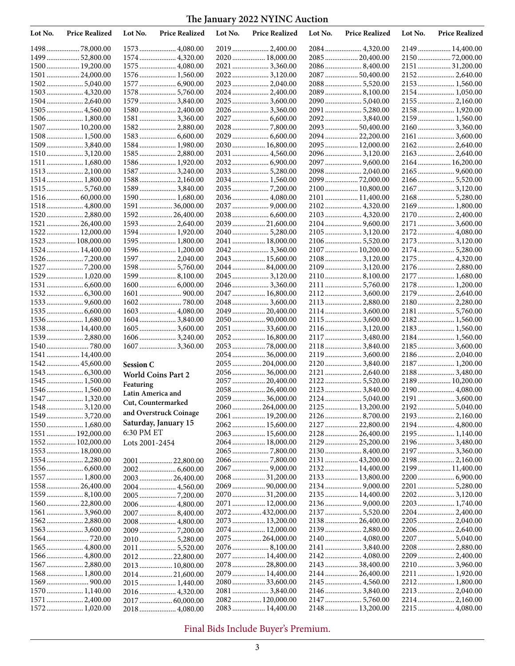| Lot No. | <b>Price Realized</b>          | Lot No.           | <b>Price Realized</b>             | Lot No. | <b>Price Realized</b>              | Lot No. | <b>Price Realized</b> | Lot No. | <b>Price Realized</b>           |
|---------|--------------------------------|-------------------|-----------------------------------|---------|------------------------------------|---------|-----------------------|---------|---------------------------------|
|         | 149878,000.00                  |                   | 1573  4,080.00                    |         |                                    |         |                       |         | 2149  14,400.00                 |
|         | 1499  52,800.00                |                   | 1574  4,320.00                    |         | 2020  18,000.00                    |         | 208520,400.00         |         | 2150  72,000.00                 |
|         | 1500 19,200.00                 |                   | 1575  4,080.00                    |         | 2021  3,360.00                     |         | 20868,400.00          |         | 2151  31,200.00                 |
|         | 1501  24,000.00                |                   | $1576 \dots 1,560.00$             |         | 20223,120.00                       |         | 2087  50,400.00       |         |                                 |
|         |                                |                   | 1577  6,900.00                    |         | 2023  2,040.00                     |         |                       |         | 2153  1,560.00                  |
|         | 1503 4,320.00                  |                   | 1578  5,760.00                    |         | 20242,400.00                       |         | 20898,100.00          |         | 2154 1,050.00                   |
|         |                                |                   | 1579  3,840.00                    |         | 2025  3,600.00                     |         |                       |         | 2155  2,160.00                  |
|         | 1505  4,560.00                 |                   | 1580  2,400.00                    |         | 2026  3,360.00                     |         | 2091  5,280.00        |         | 2158 1,920.00                   |
|         | 1506 1,800.00                  |                   | 1581  3,360.00                    |         |                                    |         | 2092 3,840.00         |         | 2159  1,560.00                  |
|         | 1507  10,200.00                |                   | 1582 2,880.00                     |         |                                    |         | 2093  50,400.00       |         | 2160 3,360.00                   |
|         | 1508 1,500.00                  |                   | 1584 1,980.00                     |         | 2030  16,800.00                    |         | 209422,200.00         |         | 2161  3,600.00                  |
|         | 1509  3,840.00<br>15103,120.00 |                   | 1585  2,880.00                    |         | 2031  4,560.00                     |         | 2095  12,000.00       |         |                                 |
|         | 1511  1,680.00                 |                   | 1586 1,920.00                     |         |                                    |         |                       |         | 2164 16,200.00                  |
|         | 15132,100.00                   |                   | 1587  3,240.00                    |         |                                    |         | 2098 2,040.00         |         |                                 |
|         | 1514 1,800.00                  |                   | 1588 2,160.00                     |         |                                    |         | 2099  72,000.00       |         | 21665,520.00                    |
|         | 15155,760.00                   |                   | 1589  3,840.00                    |         |                                    |         | 2100  10,800.00       |         | 2167  3,120.00                  |
|         |                                |                   | 1590 1,680.00                     |         | 2036  4,080.00                     |         | 2101  11,400.00       |         |                                 |
|         | 1518 4,800.00                  |                   | 1591  36,000.00                   |         |                                    |         |                       |         |                                 |
|         |                                |                   | 1592 26,400.00                    |         |                                    |         |                       |         | 2170  2,400.00                  |
|         | 1521  26,400.00                |                   | 1593  2,640.00                    |         | 2039  21,600.00                    |         |                       |         | 2171  3,600.00                  |
|         | 1522 12,000.00                 |                   | 1594  1,920.00                    |         |                                    |         | 2105  3,120.00        |         | 2172 4,080.00                   |
|         | 1523  108,000.00               |                   | 1595  1,800.00                    |         | 2041  18,000.00                    |         | 2106 5,520.00         |         | 2173  3,120.00                  |
|         | 1524 14,400.00                 |                   | 1596 1,200.00                     |         |                                    |         | 2107  10,200.00       |         | 2174 5,280.00                   |
|         |                                |                   | 1597  2,040.00                    |         | 2043  15,600.00                    |         |                       |         |                                 |
|         |                                |                   | 1598  5,760.00                    |         | 2044 84,000.00                     |         | 2109  3,120.00        |         | 2176  2,880.00                  |
|         | 1529 1,020.00                  |                   | 1599 8,100.00                     |         | 2045  3,120.00                     |         |                       |         | 2177  1,680.00                  |
|         |                                |                   |                                   |         | 20463,360.00                       |         | 2111  5,760.00        |         | 2178 1,200.00                   |
|         |                                |                   |                                   |         | 2047  16,800.00                    |         |                       |         | 2179  2,640.00                  |
|         |                                |                   |                                   |         | 2048  3,600.00                     |         | 2113  2,880.00        |         | 2180 2,280.00                   |
|         | 1535  6,600.00                 |                   | 1603  4,080.00                    |         | 2049  20,400.00                    |         | 2114 3,600.00         |         |                                 |
|         | 1536 1,680.00                  |                   | $1604$ 3,840.00                   |         | 2050  90,000.00                    |         |                       |         |                                 |
|         | 1538 14,400.00                 |                   | 16053,600.00                      |         | 2051  33,600.00                    |         | 2116  3,120.00        |         |                                 |
|         | 1539  2,880.00                 |                   | 16063,240.00                      |         | 2052 16,800.00                     |         | 2117  3,480.00        |         |                                 |
|         |                                |                   | 1607  3,360.00                    |         |                                    |         |                       |         | 2185  3,600.00                  |
|         | $1541$ $14,400.00$             |                   |                                   |         | 2054 36,000.00                     |         | 2119 3,600.00         |         | 2186 2,040.00                   |
|         | 1542 45,600.00                 | <b>Session C</b>  |                                   |         | 2055  204,000.00                   |         | 2121  2,640.00        |         | 2187  1,200.00<br>2188 3,480.00 |
|         | 1545 1,500.00                  |                   | <b>World Coins Part 2</b>         |         | 2056  36,000.00<br>2057  20,400.00 |         |                       |         | 2189  10,200.00                 |
|         | 1546 1,560.00                  | Featuring         |                                   |         |                                    |         | 2123  3,840.00        |         | 2190 4,080.00                   |
|         | 1547  1,320.00                 | Latin America and |                                   |         | 2059  36,000.00                    |         |                       |         |                                 |
|         | 15483,120.00                   |                   | Cut, Countermarked                |         | 2060264,000.00                     |         | 2125  13,200.00       |         |                                 |
|         | 15493,720.00                   |                   | and Overstruck Coinage            |         | 2061  19,200.00                    |         |                       |         |                                 |
|         | 1550 1,680.00                  |                   | Saturday, January 15              |         | 2062 15,600.00                     |         | 2127  22,800.00       |         | 2194 4,800.00                   |
|         | 1551  192,000.00               | 6:30 PM ET        |                                   |         | 2063  15,600.00                    |         | 2128  26,400.00       |         | 2195  1,140.00                  |
|         | 1552 102,000.00                | Lots 2001-2454    |                                   |         | 2064  18,000.00                    |         | 2129  25,200.00       |         | 2196  3,480.00                  |
|         | 1553 18,000.00                 |                   |                                   |         |                                    |         |                       |         | 2197  3,360.00                  |
|         |                                |                   | 2001  22,800.00                   |         |                                    |         | 2131  43,200.00       |         | 2198  2,160.00                  |
|         |                                |                   |                                   |         |                                    |         | 2132 14,400.00        |         | 2199  11,400.00                 |
|         | 1557  1,800.00                 |                   | 2003 26,400.00                    |         |                                    |         | 2133  13,800.00       |         |                                 |
|         | 155826,400.00                  |                   | 2004 4,560.00                     |         |                                    |         |                       |         |                                 |
|         |                                |                   |                                   |         |                                    |         | 2135  14,400.00       |         |                                 |
|         | 156022,800.00                  |                   | 2006 4,800.00                     |         | 2071  12,000.00                    |         |                       |         |                                 |
|         |                                |                   |                                   |         | 2072 432,000.00                    |         |                       |         |                                 |
|         |                                |                   | 2008  4,800.00                    |         |                                    |         | 213826,400.00         |         |                                 |
|         | 15633,600.00                   |                   |                                   |         | 2074  12,000.00                    |         |                       |         | 2206  2,640.00                  |
|         | 1565  4,800.00                 |                   | 2010 5,280.00                     |         | 2075 264,000.00                    |         |                       |         | 2208 2,880.00                   |
|         |                                |                   | 2011  5,520.00                    |         | 2077  14,400.00                    |         | 2142  4,080.00        |         | 2209  2,400.00                  |
|         | 1567  2,880.00                 |                   | 2012 22,800.00<br>2013  10,800.00 |         | 2078  28,800.00                    |         | 2143  38,400.00       |         | 2210  3,960.00                  |
|         | $1568 \dots 1,800.00$          |                   | 201421,600.00                     |         | 2079  14,400.00                    |         | 2144  26,400.00       |         |                                 |
|         |                                |                   | 2015 1,440.00                     |         | 208033,600.00                      |         |                       |         |                                 |
|         | 1570 1,140.00                  |                   | 2016 4,320.00                     |         |                                    |         | 2146  3,840.00        |         | 2213  2,040.00                  |
|         | 1571  2,400.00                 |                   | 2017  60,000.00                   |         | 2082 120,000.00                    |         |                       |         |                                 |
|         |                                |                   | 2018 4,080.00                     |         | 2083  14,400.00                    |         |                       |         |                                 |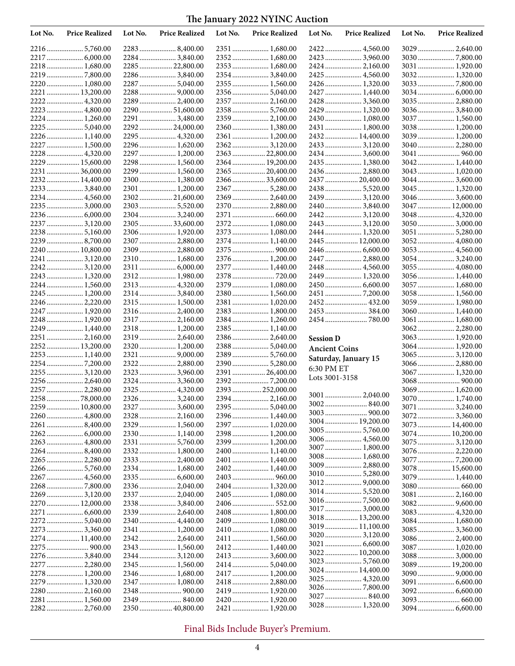| Lot No. | <b>Price Realized</b>              | Lot No. | <b>Price Realized</b>            | Lot No. | <b>Price Realized</b>              | Lot No.              | <b>Price Realized</b>           | Lot No. | <b>Price Realized</b>           |
|---------|------------------------------------|---------|----------------------------------|---------|------------------------------------|----------------------|---------------------------------|---------|---------------------------------|
|         |                                    |         |                                  |         | 2351  1,680.00                     |                      | 2422  4,560.00                  |         | 3029  2,640.00                  |
|         |                                    |         | 2284  3,840.00                   |         | 2352  1,680.00                     |                      | 2423  3,960.00                  |         |                                 |
|         | 2218 1,680.00                      |         | 2285  22,800.00                  |         | 2353  1,680.00                     |                      |                                 |         | 3031  1,920.00                  |
|         | 22197,800.00                       |         | 2286  3,840.00                   |         | 2354  3,840.00                     |                      | 2425  4,560.00                  |         |                                 |
|         | 2220  1,080.00                     |         | 2287  5,040.00                   |         | 2355  1,560.00                     |                      | 2426  1,320.00                  |         |                                 |
|         | 2221  13,200.00                    |         |                                  |         |                                    |                      | 2427  1,440.00                  |         |                                 |
|         | 2222  4,320.00                     |         | 2289  2,400.00                   |         | 2357  2,160.00                     |                      | 2428  3,360.00                  |         | 3035  2,880.00                  |
|         | 2223  4,800.00                     |         | 2290  51,600.00                  |         |                                    |                      | 2429  1,320.00                  |         | 30363,840.00                    |
|         | 2224 1,260.00                      |         | 2291  3,480.00                   |         | 2359  2,100.00                     |                      | 2430  1,080.00                  |         | 3037  1,560.00                  |
|         | 2225  5,040.00                     |         | 229224,000.00                    |         | 2360  1,380.00                     |                      | 2431  1,800.00                  |         | 3038 1,200.00                   |
|         | 2226  1,140.00                     |         |                                  |         | 2361  1,200.00                     |                      | 2432 14,400.00                  |         | 3039 1,200.00                   |
|         | 2227  1,500.00                     |         | 2296  1,620.00                   |         | 23623,120.00                       |                      |                                 |         | 3040 2,280.00                   |
|         | 2228  4,320.00                     |         | 2297  1,200.00<br>2298  1,560.00 |         | 2363  22,800.00                    |                      | 2434 3,600.00                   |         | 3041  960.00                    |
|         | 2229  15,600.00<br>2231  36,000.00 |         | 2299  1,560.00                   |         | 2364  19,200.00<br>2365  20,400.00 |                      | 2435  1,380.00<br>2436 2,880.00 |         | 3042 1,440.00                   |
|         | 2232 14,400.00                     |         | 2300  1,380.00                   |         | 2366  33,600.00                    |                      | 2437  20,400.00                 |         | 3043 1,020.00<br>3044  3,600.00 |
|         | 2233  3,840.00                     |         | 2301  1,200.00                   |         | 2367  5,280.00                     |                      |                                 |         |                                 |
|         | 2234 4,560.00                      |         | 2302 21,600.00                   |         | 2369  2,640.00                     |                      | 2439  3,120.00                  |         | 30463,600.00                    |
|         | 2235  3,000.00                     |         | 2303  5,520.00                   |         | 2370  2,880.00                     |                      | 2440 3,840.00                   |         | 3047  12,000.00                 |
|         |                                    |         | 2304  3,240.00                   |         |                                    |                      | 24423,120.00                    |         | 3048 4,320.00                   |
|         | 2237  3,120.00                     |         | 2305 33,600.00                   |         | 2372  1,080.00                     |                      | 2443  3,120.00                  |         | 30503,000.00                    |
|         | 22385,160.00                       |         | 2306  1,920.00                   |         | 2373  1,080.00                     |                      | 2444  1,320.00                  |         | 3051  5,280.00                  |
|         |                                    |         | 2307  2,880.00                   |         | 2374  1,140.00                     |                      | 2445  12,000.00                 |         | 3052 4,080.00                   |
|         | 2240  10,800.00                    |         | 2309  2,880.00                   |         |                                    |                      | 2446  6,600.00                  |         | 3053  4,560.00                  |
|         | 2241  3,120.00                     |         | 2310  1,680.00                   |         | 2376  1,200.00                     |                      | 2447  2,880.00                  |         | 30543,240.00                    |
|         | 22423,120.00                       |         |                                  |         | 2377  1,440.00                     |                      | 2448  4,560.00                  |         | 3055  4,080.00                  |
|         | 2243  1,320.00                     |         | 2312 1,980.00                    |         |                                    |                      | 2449  1,320.00                  |         | 3056 1,440.00                   |
|         | 2244 1,560.00                      |         | 2313  4,320.00                   |         | 2379  1,080.00                     |                      | 2450  6,600.00                  |         | 3057  1,680.00                  |
|         | 2245  1,200.00                     |         | 2314  3,840.00                   |         | 2380  1,560.00                     |                      |                                 |         | 3058 1,560.00                   |
|         | 2246  2,220.00                     |         | 2315  1,500.00                   |         | 2381  1,020.00                     |                      |                                 |         | 3059 1,980.00                   |
|         | 2247  1,920.00                     |         | 2316  2,400.00                   |         | 2383  1,800.00                     |                      | 2453  384.00                    |         |                                 |
|         | 2248 1,920.00                      |         | 2317  2,160.00                   |         | 2384  1,260.00                     |                      | 2454  780.00                    |         |                                 |
|         | 2249  1,440.00                     |         | 2318  1,200.00                   |         | 2385  1,140.00                     |                      |                                 |         |                                 |
|         | 2251  2,160.00                     |         | 2319  2,640.00                   |         | 2386  2,640.00                     | <b>Session D</b>     |                                 |         |                                 |
|         | 2252 13,200.00                     |         | 2320  1,200.00                   |         | 2388  5,040.00                     | <b>Ancient Coins</b> |                                 |         | 3064 1,920.00                   |
|         | 2253 1,140.00                      |         | 2322  2,880.00                   |         | 2389  5,760.00<br>2390  5,280.00   |                      | Saturday, January 15            |         | 30653,120.00                    |
|         | 2255  3,120.00                     |         | 2323  3,960.00                   |         | 2391  26,400.00                    | 6:30 PM ET           |                                 |         | 3066 2,880.00<br>3067  1,320.00 |
|         | 2256 2,640.00                      |         | 2324  3,360.00                   |         |                                    | Lots 3001-3158       |                                 |         |                                 |
|         | 2257  2,280.00                     |         | 2325  4,320.00                   |         | 2393  252,000.00                   |                      |                                 |         | 3069 1,620.00                   |
|         | 2258 78,000.00                     |         |                                  |         | 2394  2,160.00                     |                      | 3001  2,040.00                  |         | 3070  1,740.00                  |
|         | 2259  10,800.00                    |         |                                  |         | 2395  5,040.00                     |                      |                                 |         | 30713,240.00                    |
|         | 2260 4,800.00                      |         |                                  |         |                                    |                      |                                 |         | 3072 3,360.00                   |
|         |                                    |         | 2329  1,560.00                   |         | 2397  1,020.00                     |                      | 3004 19,200.00                  |         | 3073  14,400.00                 |
|         |                                    |         | 2330  1,140.00                   |         | 2398  1,200.00                     |                      |                                 |         | 3074 10,200.00                  |
|         |                                    |         | 2331  5,760.00                   |         | 2399  1,200.00                     |                      | 3006 4,560.00                   |         | 3075  3,120.00                  |
|         | 22648,400.00                       |         | 2332  1,800.00                   |         | 2400  1,140.00                     |                      | 3007 1,800.00                   |         |                                 |
|         | 2265  2,280.00                     |         | 2333  2,400.00                   |         | 2401  1,440.00                     |                      | 3008 1,680.00                   |         |                                 |
|         | 2266  5,760.00                     |         | 2334  1,680.00                   |         |                                    |                      | 3009  2,880.00                  |         | 3078  15,600.00                 |
|         |                                    |         | 2335  6,600.00                   |         |                                    |                      |                                 |         | 3079  1,440.00                  |
|         |                                    |         | 2336  2,040.00                   |         | 2404 1,320.00                      |                      |                                 |         |                                 |
|         | 2269  3,120.00                     |         | 2337  2,040.00                   |         | 2405  1,080.00                     |                      |                                 |         |                                 |
|         | 2270  12,000.00                    |         | 2338  3,840.00                   |         | 2406  552.00                       |                      | 3017  3,000.00                  |         |                                 |
|         |                                    |         | 2339  2,640.00                   |         | 2408  1,800.00                     |                      | 3018  13,200.00                 |         | 3083 4,320.00                   |
|         | 22725,040.00                       |         | 2340 4,440.00                    |         | 2409  1,080.00                     |                      | 3019  11,100.00                 |         | 3084 1,680.00                   |
|         | 2273  3,360.00                     |         | 2341  1,200.00                   |         | 2410  1,080.00                     |                      |                                 |         | 3085  3,360.00                  |
|         | 2274 11,400.00                     |         | 23422,640.00                     |         |                                    |                      |                                 |         | 3086 2,400.00<br>3087  1,020.00 |
|         | 2276  3,840.00                     |         |                                  |         | 2413  3,600.00                     |                      | 3022 10,200.00                  |         | 3088 3,000.00                   |
|         | 2277  2,280.00                     |         |                                  |         |                                    |                      |                                 |         | 3089  19,200.00                 |
|         | 2278  1,200.00                     |         | 2346  1,680.00                   |         |                                    |                      | 3024  14,400.00                 |         |                                 |
|         | 2279 1,320.00                      |         | 2347  1,080.00                   |         | 2418  2,880.00                     |                      | 3025  4,320.00                  |         | 3091  6,600.00                  |
|         |                                    |         |                                  |         | 2419  1,920.00                     |                      |                                 |         |                                 |
|         | 2281  1,560.00                     |         | 2349  840.00                     |         | 2420  1,920.00                     |                      |                                 |         |                                 |
|         | 22822,760.00                       |         | 2350  40,800.00                  |         | 2421  1,920.00                     |                      | 3028  1,320.00                  |         |                                 |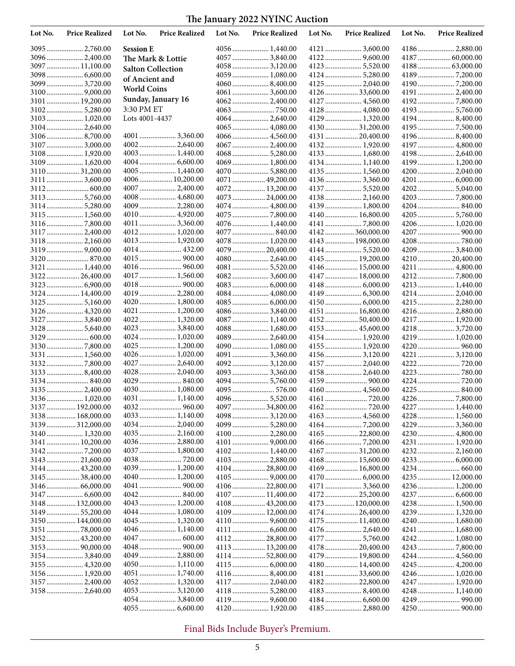| Lot No. | <b>Price Realized</b>          | Lot No.                  | <b>Price Realized</b> | Lot No. | <b>Price Realized</b>          | Lot No. | <b>Price Realized</b> | Lot No. | <b>Price Realized</b> |
|---------|--------------------------------|--------------------------|-----------------------|---------|--------------------------------|---------|-----------------------|---------|-----------------------|
|         | 3095  2,760.00                 | <b>Session E</b>         |                       |         |                                |         | 4121  3,600.00        |         | 4186 2,880.00         |
|         | 3096  2,400.00                 |                          | The Mark & Lottie     |         | 4057  3,840.00                 |         |                       |         |                       |
|         | 3097  11,100.00                | <b>Salton Collection</b> |                       |         | 4058  3,120.00                 |         |                       |         |                       |
|         |                                | of Ancient and           |                       |         | 4059  1,080.00                 |         | 4124  5,280.00        |         |                       |
|         | 3099  3,720.00                 | <b>World Coins</b>       |                       |         |                                |         | 4125  2,040.00        |         |                       |
|         |                                |                          |                       |         |                                |         | 4126 33,600.00        |         | 4191  2,400.00        |
|         | 3101  19,200.00                |                          | Sunday, January 16    |         |                                |         |                       |         |                       |
| 3102    |                                | 3:30 PM ET               |                       |         |                                |         | 4128  4,080.00        |         | 41935,760.00          |
|         | 3103 1,020.00                  | Lots 4001-4437           |                       |         | 4064  2,640.00                 |         | 4129  1,320.00        |         | 41948,400.00          |
|         | 3104 2,640.00                  |                          |                       |         | 4065  4,080.00                 |         | 413031,200.00         |         |                       |
|         | 31068,700.00<br>3107  3,000.00 |                          | 40022,640.00          |         | 4066  4,560.00                 |         | 4131  20,400.00       |         | 4197  4,800.00        |
|         | 3108 1,920.00                  |                          | 4003  1,440.00        |         |                                |         | 4133  1,680.00        |         | 4198 2,640.00         |
|         | 3109  1,620.00                 |                          |                       |         | 4069  1,800.00                 |         | 4134 1,140.00         |         | 4199  1,200.00        |
|         | 311031,200.00                  |                          | $4005$ 1,440.00       |         |                                |         | 4135  1,560.00        |         |                       |
|         | 3111  3,600.00                 |                          | 4006  10,200.00       |         | 4071  49,200.00                |         | 41363,360.00          |         |                       |
|         |                                |                          | 4007  2,400.00        |         | 4072 13,200.00                 |         | 4137  5,520.00        |         |                       |
|         | 3113  5,760.00                 |                          | 4008  4,680.00        |         | 4073  24,000.00                |         |                       |         |                       |
|         | 31145,280.00                   |                          | 4009  2,280.00        |         |                                |         | 4139 1,800.00         |         |                       |
|         |                                |                          | 4010  4,920.00        |         |                                |         | 4140  16,800.00       |         |                       |
|         |                                |                          | 4011  3,360.00        |         |                                |         |                       |         |                       |
|         | 3117  2,400.00                 |                          | 4012 1,020.00         |         |                                |         | 4142  360,000.00      |         | 4207  900.00          |
|         | 3118 2,160.00                  |                          | 4013  1,920.00        |         | 4078  1,020.00                 |         | 4143  198,000.00      |         |                       |
|         |                                |                          | 4014 432.00           |         | 4079  20,400.00                |         |                       |         | 4209  3,840.00        |
|         |                                |                          |                       |         | 4080  2,640.00                 |         | 4145  19,200.00       |         |                       |
|         | 3121  1,440.00                 |                          |                       |         |                                |         | 4146  15,000.00       |         | 4211  4,800.00        |
|         | 312226,400.00                  |                          | 4017  1,560.00        |         | 40823,600.00                   |         | 4147  18,000.00       |         |                       |
|         | 3123  6,900.00                 |                          |                       |         |                                |         |                       |         |                       |
|         | 3124  14,400.00                |                          | 4019  2,280.00        |         | 4084  4,080.00                 |         |                       |         | 4214  2,040.00        |
|         |                                |                          | $4020$ 1,800.00       |         |                                |         |                       |         | 4215  2,280.00        |
|         | 3126 4,320.00                  |                          | 4021  1,200.00        |         | 4086  3,840.00                 |         | 4151  16,800.00       |         | 4216 2,880.00         |
|         | 3127  3,840.00                 |                          | 4022 1,320.00         |         | 4087  1,140.00                 |         | 4152 50,400.00        |         | 4217  1,920.00        |
|         | 3128  5,640.00                 |                          | 4023  3,840.00        |         | 4088  1,680.00                 |         | 4153  45,600.00       |         |                       |
|         |                                |                          | 4024  1,020.00        |         | 4089  2,640.00                 |         | 4154 1,920.00         |         | 4219  1,020.00        |
|         | 31307,800.00                   |                          | 4025  1,200.00        |         |                                |         | 4155  1,920.00        |         | 4220  960.00          |
|         |                                |                          | 4026  1,020.00        |         | 4091  3,360.00                 |         | 4156  3,120.00        |         | 4221  3,120.00        |
|         | 31327,800.00                   |                          | 4027  2,640.00        |         |                                |         |                       |         |                       |
|         | 31338,400.00                   |                          | 4028  2,040.00        |         | 4093  3,360.00                 |         | 4158 2,640.00         |         |                       |
|         | 3135  2,400.00                 |                          | 4030  1,080.00        |         | 4094  5,760.00<br>4095  576.00 |         |                       |         | 4224  720.00          |
|         | 3136 1,020.00                  |                          | 4031  1,140.00        |         |                                |         | 4160  4,560.00        |         |                       |
|         | 3137  192,000.00               |                          |                       |         | 4097  34,800.00                |         |                       |         | 4227  1,440.00        |
|         | 3138  168,000.00               |                          | 4033  1,140.00        |         |                                |         |                       |         |                       |
|         | 3139  312,000.00               |                          | 4034  2,040.00        |         | 4099  5,280.00                 |         |                       |         | 4229  3,360.00        |
|         | 3140  1,320.00                 |                          | 4035  2,160.00        |         |                                |         | 4165  22,800.00       |         | 4230  4,800.00        |
|         | 3141  10,200.00                |                          | 4036  2,880.00        |         |                                |         |                       |         | 4231  1,920.00        |
|         |                                |                          | 4037  1,800.00        |         |                                |         | 4167 31,200.00        |         |                       |
|         | 3143  21,600.00                |                          |                       |         | 4103  2,880.00                 |         | 4168  15,600.00       |         |                       |
|         | 3144  43,200.00                |                          | 4039  1,200.00        |         | 4104  28,800.00                |         | 4169  16,800.00       |         |                       |
|         | 3145 38,400.00                 |                          | 4040  1,200.00        |         |                                |         |                       |         | 4235  12,000.00       |
|         |                                |                          |                       |         | 4106  22,800.00                |         | 4171  3,360.00        |         |                       |
|         |                                |                          |                       |         | 4107  11,400.00                |         | 417225,200.00         |         |                       |
|         | 3148  132,000.00               |                          | 4043  1,200.00        |         | 4108  43,200.00                |         | 4173  120,000.00      |         | 4238  1,500.00        |
|         | 3149  55,200.00                |                          | 4044  1,080.00        |         | 4109  12,000.00                |         | 417426,400.00         |         | 4239  1,320.00        |
|         | 3150  144,000.00               |                          | 4045  1,320.00        |         |                                |         | 4175  11,400.00       |         | 4240 1,680.00         |
|         | 3151 78,000.00                 |                          | 4046  1,140.00        |         |                                |         | 4176  2,640.00        |         | 4241  1,680.00        |
|         | 3152 43,200.00                 |                          |                       |         | 4112  28,800.00                |         |                       |         |                       |
|         | 3153  90,000.00                |                          |                       |         | 4113  13,200.00                |         | 4178  20,400.00       |         |                       |
|         | 3154 3,840.00                  |                          | 4049  2,880.00        |         | 4114  52,800.00                |         | 4179  19,800.00       |         | 4244  4,560.00        |
|         | 3155  4,320.00                 |                          | 4050  1,110.00        |         |                                |         | 4180 14,400.00        |         |                       |
|         |                                |                          |                       |         |                                |         | 4181 33,600.00        |         | 4246  1,020.00        |
|         | 3157  2,400.00                 |                          | 4052 1,320.00         |         | 4117  2,040.00                 |         | 418222,800.00         |         | 4247  1,920.00        |
|         | 3158  2,640.00                 |                          |                       |         | 4118  5,280.00                 |         |                       |         | 4248  1,140.00        |
|         |                                |                          |                       |         |                                |         |                       |         |                       |
|         |                                |                          |                       |         |                                |         | 4185  2,880.00        |         |                       |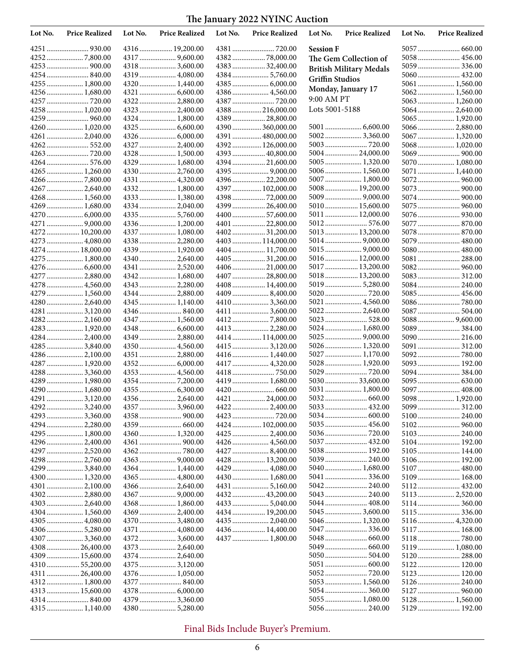| Lot No. | <b>Price Realized</b>            | Lot No. | <b>Price Realized</b>            | Lot No. | <b>Price Realized</b>               | Lot No.                | <b>Price Realized</b>          | Lot No. | <b>Price Realized</b>       |
|---------|----------------------------------|---------|----------------------------------|---------|-------------------------------------|------------------------|--------------------------------|---------|-----------------------------|
|         |                                  |         | 4316  19,200.00                  |         |                                     | <b>Session F</b>       |                                |         |                             |
|         |                                  |         |                                  |         |                                     |                        | The Gem Collection of          |         | 5058 456.00                 |
|         |                                  |         | 4318  3,600.00                   |         | 4383  32,400.00                     |                        | <b>British Military Medals</b> |         |                             |
|         |                                  |         | 4319  4,080.00                   |         |                                     | <b>Griffin Studios</b> |                                |         | 5060 432.00                 |
|         | 4255  1,800.00                   |         | 4320  1,440.00                   |         |                                     |                        | Monday, January 17             |         | 5061  1,560.00              |
|         | 4256 1,680.00                    |         |                                  |         |                                     | 9:00 AM PT             |                                |         |                             |
|         |                                  |         | 4322  2,880.00                   |         |                                     | Lots 5001-5188         |                                |         |                             |
|         | 4258 1,020.00                    |         | 4323  2,400.00<br>4324  1,800.00 |         | 4388  216,000.00<br>4389  28,800.00 |                        |                                |         | 5065 1,920.00               |
|         | 4260 1,020.00                    |         |                                  |         | 4390 360,000.00                     |                        |                                |         | 5066  2,880.00              |
|         | 4261  2,040.00                   |         |                                  |         | 4391  480,000.00                    |                        | 5002 3,360.00                  |         | 5067 1,320.00               |
|         |                                  |         | 4327  2,400.00                   |         | 4392  126,000.00                    |                        |                                |         | 5068 1,020.00               |
|         |                                  |         | 4328  1,500.00                   |         | 4393  40,800.00                     |                        | 500424,000.00                  |         |                             |
|         |                                  |         | 4329  1,680.00                   |         | 4394  21,600.00                     |                        |                                |         | 5070  1,080.00              |
|         | 4265  1,260.00                   |         | 4330  2,760.00                   |         |                                     |                        | 5006 1,560.00                  |         | 5071 1,440.00               |
|         | 42667,800.00                     |         | 4331  4,320.00                   |         | 4396  22,200.00                     |                        | 5007  1,800.00                 |         | 5072 960.00                 |
|         | 4267  2,640.00                   |         | 4332 1,800.00                    |         | 4397  102,000.00                    |                        | 5008  19,200.00                |         |                             |
|         | 4268  1,560.00                   |         | 4333  1,380.00                   |         |                                     |                        |                                |         |                             |
|         | 4269 1,680.00                    |         | 4334  2,040.00                   |         | 4399  26,400.00                     |                        | 5010 15,600.00                 |         |                             |
|         | 4270  6,000.00                   |         | 4335  5,760.00                   |         | 4400  57,600.00                     |                        | 5011  12,000.00                |         |                             |
|         |                                  |         | 4336  1,200.00                   |         | 4401  22,800.00                     |                        | 5012 576.00                    |         | 5077  870.00                |
|         | 4272  10,200.00                  |         | 4337  1,080.00                   |         |                                     |                        | 5013  13,200.00                |         |                             |
|         | 4273  4,080.00                   |         | 4338  2,280.00                   |         | 4403  114,000.00                    |                        |                                |         | 5079 480.00                 |
|         | 4274 18,000.00<br>4275  1,800.00 |         | 4339  1,920.00                   |         | 4404  11,700.00<br>4405  31,200.00  |                        | 5016 12,000.00                 |         | 5080 480.00<br>5081  288.00 |
|         |                                  |         | 4341  2,520.00                   |         | 4406  21,000.00                     |                        | 5017  13,200.00                |         |                             |
|         | 4277  2,880.00                   |         | 4342 1,680.00                    |         | 4407  28,800.00                     |                        | 5018  13,200.00                |         | 5083 312.00                 |
|         | 4278  4,560.00                   |         | 4343  2,280.00                   |         | 4408  14,400.00                     |                        | 5019 5,280.00                  |         | 5084 240.00                 |
|         | 4279  1,560.00                   |         | 4344  2,880.00                   |         |                                     |                        |                                |         | 5085  456.00                |
|         | 4280  2,640.00                   |         |                                  |         | 4410  3,360.00                      |                        | 5021  4,560.00                 |         |                             |
|         | 4281  3,120.00                   |         |                                  |         |                                     |                        | 5022 2,640.00                  |         | 5087  504.00                |
|         | 42822,160.00                     |         | $4347$ 1,560.00                  |         |                                     |                        | 5023 528.00                    |         |                             |
|         | 4283  1,920.00                   |         |                                  |         | 4413  2,280.00                      |                        | 5024 1,680.00                  |         |                             |
|         | 4284 2,400.00                    |         | 4349  2,880.00                   |         | 4414  114,000.00                    |                        |                                |         |                             |
|         | 4285  3,840.00                   |         | $4350$ 4,560.00                  |         |                                     |                        | 5026 1,320.00                  |         | 5091 312.00                 |
|         | 42862,100.00                     |         |                                  |         |                                     |                        | 5027  1,170.00                 |         |                             |
|         | 4287  1,920.00                   |         |                                  |         |                                     |                        | 5028  1,920.00<br>5029  720.00 |         | 5093 192.00                 |
|         | 4288  3,360.00<br>4289  1,980.00 |         | 4353  4,560.00                   |         | 4419  1,680.00                      |                        | 5030 33,600.00                 |         |                             |
|         | 4290 1,680.00                    |         |                                  |         |                                     |                        | 5031  1,800.00                 |         | 5097  408.00                |
|         |                                  |         | 4356  2,640.00                   |         | 4421  24,000.00                     |                        |                                |         | 5098 1,920.00               |
|         | 42923,240.00                     |         | 4357  3,960.00                   |         | 4422  2,400.00                      |                        |                                |         | 5099 312.00                 |
|         | 4293  3,360.00                   |         |                                  |         |                                     |                        |                                |         | 5100 240.00                 |
|         | 4294 2,280.00                    |         |                                  |         | 4424  102,000.00                    |                        |                                |         |                             |
|         | 4295  1,800.00                   |         | 4360  1,320.00                   |         |                                     |                        |                                |         | 5103 240.00                 |
|         |                                  |         |                                  |         |                                     |                        |                                |         | 5104 192.00                 |
|         |                                  |         |                                  |         |                                     |                        | 5038 192.00                    |         | 5105 144.00                 |
|         |                                  |         |                                  |         | 4428  13,200.00                     |                        | 5039 240.00                    |         |                             |
|         | 4299  3,840.00                   |         |                                  |         | 4429  4,080.00                      |                        | 5040  1,680.00                 |         | 5107  480.00                |
|         |                                  |         |                                  |         | 4430  1,680.00                      |                        | 5041  336.00                   |         | 5109 168.00                 |
|         |                                  |         | 4366  2,640.00                   |         | 4432  43,200.00                     |                        | 5043  240.00                   |         | 5113 2,520.00               |
|         |                                  |         | 4368  1,860.00                   |         |                                     |                        |                                |         |                             |
|         |                                  |         | 4369  2,400.00                   |         | 4434  19,200.00                     |                        |                                |         |                             |
|         | 4305  4,080.00                   |         | 4370  3,480.00                   |         | 4435  2,040.00                      |                        |                                |         |                             |
|         |                                  |         | 4371  4,080.00                   |         | 4436  14,400.00                     |                        |                                |         | 5117 168.00                 |
|         |                                  |         |                                  |         | 4437  1,800.00                      |                        |                                |         |                             |
|         | 4308  26,400.00                  |         |                                  |         |                                     |                        |                                |         | 5119 1,080.00               |
|         | 4309 15,600.00                   |         | 4374  2,640.00                   |         |                                     |                        |                                |         | 5120 288.00                 |
|         | 4310 55,200.00                   |         |                                  |         |                                     |                        |                                |         | 5122 120.00                 |
|         | 4311  26,400.00                  |         |                                  |         |                                     |                        |                                |         | 5123 120.00                 |
|         | 4312 1,800.00                    |         |                                  |         |                                     |                        | 5053  1,560.00                 |         |                             |
|         |                                  |         | 4378  6,000.00                   |         |                                     |                        | 5054  360.00                   |         |                             |
|         |                                  |         | 4379  3,360.00                   |         |                                     |                        | 5055  1,080.00                 |         | 5128 1,560.00               |
|         |                                  |         |                                  |         |                                     |                        | 5056 240.00                    |         | 5129 192.00                 |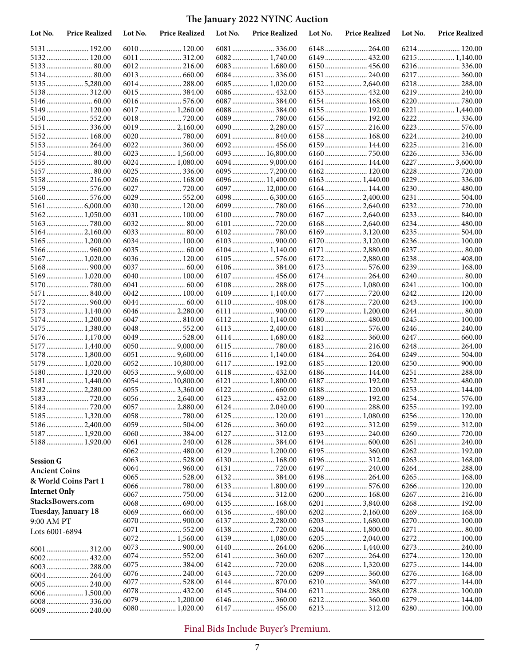| Lot No.              | <b>Price Realized</b>        | Lot No. | <b>Price Realized</b>              | Lot No. | <b>Price Realized</b> | Lot No. | <b>Price Realized</b>      | Lot No. | <b>Price Realized</b> |
|----------------------|------------------------------|---------|------------------------------------|---------|-----------------------|---------|----------------------------|---------|-----------------------|
|                      | 5131 192.00                  |         | 6010 120.00                        |         |                       |         | 6148  264.00               |         |                       |
|                      | 5132 120.00                  |         | 6011  312.00                       |         | 6082 1,740.00         |         |                            |         |                       |
|                      |                              |         |                                    |         | 6083  1,680.00        |         | 6150 456.00                |         |                       |
|                      | 5134 80.00                   |         |                                    |         |                       |         | 6151  240.00               |         | 6217  360.00          |
|                      | 51355,280.00                 |         | 6014  288.00                       |         | 6085  1,020.00        |         |                            |         | 6218 288.00           |
| 5138                 | 312.00                       |         |                                    |         |                       |         |                            |         | 6219  240.00          |
|                      |                              |         | 6016  576.00                       |         |                       |         | 6154  168.00               |         | 6220  780.00          |
| 5149                 | 120.00                       |         | 6017  1,260.00                     |         |                       |         | 6155  192.00               |         | 6221  1,440.00        |
|                      | 5150 552.00                  |         |                                    |         |                       |         | 6156  192.00               |         |                       |
|                      | 5151  336.00                 |         | 6019  2,160.00                     |         | 6090  2,280.00        |         | 6157  216.00               |         | 6224 240.00           |
|                      | 5152 168.00<br>5153 264.00   |         |                                    |         | 6092 456.00           |         | 6158 168.00                |         | 6225  216.00          |
|                      |                              |         | 6023  1,560.00                     |         | 6093  16,800.00       |         |                            |         |                       |
| 5155                 |                              |         | 6024  1,080.00                     |         |                       |         | 6161 144.00                |         | 6227  3,600.00        |
|                      |                              |         |                                    |         |                       |         |                            |         |                       |
|                      | 5158 216.00                  |         | 6026 168.00                        |         | 6096  11,400.00       |         | 6163  1,440.00             |         | 6229  336.00          |
|                      | 5159  576.00                 |         | 6027  720.00                       |         | 6097  12,000.00       |         | 6164  144.00               |         | 6230  480.00          |
|                      |                              |         | 6029  552.00                       |         |                       |         |                            |         |                       |
|                      |                              |         | 6030  120.00                       |         |                       |         | 6166  2,640.00             |         |                       |
|                      | 5162 1,050.00                |         | 6031  100.00                       |         |                       |         |                            |         |                       |
|                      |                              |         |                                    |         |                       |         | 6168 2,640.00              |         | 6234 480.00           |
|                      | 5164 2,160.00                |         |                                    |         |                       |         | 6169  3,120.00             |         |                       |
| 5165                 | 1,200.00                     |         | 6034  100.00                       |         |                       |         | 6170  3,120.00             |         | 6236 100.00           |
|                      |                              |         |                                    |         |                       |         | 6171  2,880.00             |         |                       |
|                      | 5167  1,020.00               |         | 6036  120.00                       |         |                       |         | 6172 2,880.00              |         | 6238 408.00           |
|                      |                              |         |                                    |         | 6106  384.00          |         |                            |         | 6239  168.00          |
|                      | 5169 1,020.00                |         | 6040  100.00                       |         | 6107  456.00          |         |                            |         |                       |
|                      |                              |         |                                    |         |                       |         | 6175  1,080.00             |         | 6241  100.00          |
| 5171                 |                              |         | 6042 100.00                        |         | $6109$ 1,140.00       |         |                            |         | 6242 120.00           |
|                      |                              |         |                                    |         | 6110  408.00          |         |                            |         | 6243 100.00           |
|                      | 5173 1,140.00                |         | 6046  2,280.00                     |         |                       |         | 6179  1,200.00             |         |                       |
|                      | 5174 1,200.00                |         |                                    |         |                       |         | 6180 480.00                |         | 6245  100.00          |
|                      | 5175  1,380.00               |         | 6048  552.00                       |         |                       |         | 6181  576.00               |         | 6246 240.00           |
|                      | 5176 1,170.00                |         | 6049  528.00                       |         | 6114 1,680.00         |         |                            |         | 6247  660.00          |
| 5178                 | 5177  1,440.00<br>1,800.00   |         |                                    |         | 6116 1,140.00         |         | 6183 216.00<br>6184 264.00 |         | 6248  264.00          |
|                      | 5179  1,020.00               |         | $6051$ 9,600.00<br>6052  10,800.00 |         | 6117  192.00          |         | 6185  120.00               |         |                       |
|                      | 5180 1,320.00                |         | $6053$ 9,600.00                    |         | 6118  432.00          |         | 6186  144.00               |         | 6251  288.00          |
|                      | 5181 1,440.00                |         | 6054  10,800.00                    |         | 6121  1,800.00        |         | 6187  192.00               |         | 6252 480.00           |
| 5182                 | 2,280.00                     |         |                                    |         |                       |         | 6188 120.00                |         | 6253 144.00           |
|                      |                              |         | 6056  2,640.00                     |         | 6123  432.00          |         | 6189 192.00                |         |                       |
|                      | 5184  720.00                 |         |                                    |         |                       |         |                            |         |                       |
|                      | 5185  1,320.00               |         |                                    |         |                       |         | 6191  1,080.00             |         |                       |
|                      | 51862,400.00                 |         |                                    |         |                       |         |                            |         |                       |
|                      | 5187 1,920.00                |         |                                    |         |                       |         |                            |         |                       |
|                      | 5188  1,920.00               |         | 6061  240.00                       |         |                       |         |                            |         | 6261  240.00          |
|                      |                              |         |                                    |         | 6129  1,200.00        |         |                            |         |                       |
| <b>Session G</b>     |                              |         | 6063  528.00                       |         | 6130  168.00          |         |                            |         |                       |
| <b>Ancient Coins</b> |                              |         |                                    |         |                       |         |                            |         | 6264 288.00           |
|                      | & World Coins Part 1         |         |                                    |         |                       |         | 6198 264.00                |         |                       |
| <b>Internet Only</b> |                              |         |                                    |         | 6133  1,800.00        |         | 6199 576.00                |         |                       |
|                      |                              |         |                                    |         |                       |         | 6200  168.00               |         |                       |
|                      | StacksBowers.com             |         |                                    |         |                       |         |                            |         |                       |
|                      | Tuesday, January 18          |         |                                    |         | 6136  480.00          |         |                            |         |                       |
| 9:00 AM PT           |                              |         |                                    |         | 6137  2,280.00        |         | 6203  1,680.00             |         | 6270  100.00          |
| Lots 6001-6894       |                              |         | 6071  552.00                       |         |                       |         | 6204 1,800.00              |         |                       |
|                      |                              |         | 6072 1,560.00                      |         |                       |         | 6205  2,040.00             |         |                       |
|                      |                              |         |                                    |         |                       |         | 6206  1,440.00             |         |                       |
|                      | 6002 432.00                  |         | 6075  384.00                       |         |                       |         | 6208 1,320.00              |         |                       |
|                      | 6003  288.00                 |         | 6076  240.00                       |         |                       |         |                            |         |                       |
|                      |                              |         | 6077  528.00                       |         |                       |         |                            |         |                       |
|                      | 6005 240.00<br>6006 1,500.00 |         | 6078  432.00                       |         | 6145  504.00          |         | 6211  288.00               |         |                       |
|                      |                              |         | 6079  1,200.00                     |         |                       |         |                            |         | 6279  144.00          |
|                      | .240.00                      |         |                                    |         |                       |         |                            |         |                       |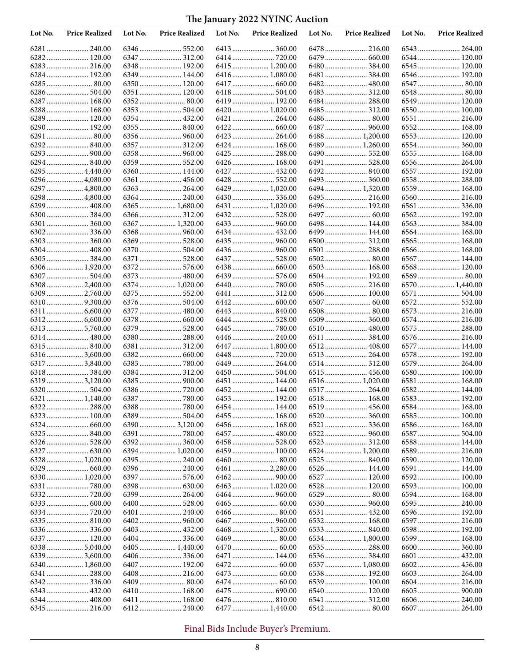| Lot No. | <b>Price Realized</b>      | Lot No. | <b>Price Realized</b> | Lot No. | <b>Price Realized</b>       | Lot No. | <b>Price Realized</b>         | Lot No. | <b>Price Realized</b>       |
|---------|----------------------------|---------|-----------------------|---------|-----------------------------|---------|-------------------------------|---------|-----------------------------|
|         | 6281  240.00               |         | 6346  552.00          |         | 6413  360.00                |         |                               |         | 6543  264.00                |
|         | 6282 120.00                |         |                       |         |                             |         |                               |         | 6544 120.00                 |
|         | 6283  216.00               |         | 6348  192.00          |         | 6415  1,200.00              |         | 6480  384.00                  |         | 6545 120.00                 |
|         | 6284 192.00                |         | 6349  144.00          |         | 6416  1,080.00              |         |                               |         | 6546  192.00                |
|         |                            |         | 6350  120.00          |         |                             |         |                               |         |                             |
|         | 6286 504.00                |         | 6351  120.00          |         | 6418  504.00                |         |                               |         |                             |
|         | 6287  168.00               |         |                       |         | 6419  192.00                |         | 6484  288.00                  |         | 6549 120.00                 |
|         | 6288  168.00               |         |                       |         | 6420  1,020.00              |         | 6485  312.00                  |         | 6550 100.00                 |
|         | 6289 120.00<br>6290 192.00 |         | 6354  432.00          |         | 6421  264.00                |         | 6487  960.00                  |         | 6551  216.00<br>6552 168.00 |
|         |                            |         |                       |         | 6423  264.00                |         | 6488 1,200.00                 |         | 6553 120.00                 |
|         |                            |         |                       |         | 6424  168.00                |         |                               |         | 6554  360.00                |
|         |                            |         |                       |         | 6425  288.00                |         |                               |         | 6555  168.00                |
|         |                            |         | 6359  552.00          |         | 6426  168.00                |         |                               |         | 6556  264.00                |
|         | 6295  4,440.00             |         | 6360  144.00          |         | 6427  432.00                |         |                               |         | 6557  192.00                |
|         | 6296  4,080.00             |         | 6361  456.00          |         |                             |         |                               |         | 6558  288.00                |
|         | 6297  4,800.00             |         |                       |         | 6429  1,020.00              |         |                               |         | 6559  168.00                |
|         | 6298  4,800.00             |         | 6364  240.00          |         | 6430  336.00                |         | 6495  216.00                  |         | 6560 216.00                 |
|         | 6299  408.00               |         | 6365  1,680.00        |         | 6431  1,020.00              |         | 6496  192.00                  |         | 6561  336.00                |
|         |                            |         | 6366  312.00          |         |                             |         |                               |         | 6562 192.00                 |
|         | 6301  360.00               |         | 6367  1,320.00        |         |                             |         | 6498 144.00                   |         |                             |
|         |                            |         |                       |         |                             |         | 6499  144.00                  |         | 6564 168.00                 |
|         |                            |         | 6369  528.00          |         |                             |         |                               |         |                             |
|         | 6304 408.00                |         | 6370  504.00          |         |                             |         | 6501  288.00                  |         | 6566  168.00                |
|         | 6306 1,920.00              |         | 6371  528.00          |         | 6437  528.00                |         | 6502 80.00<br>6503  168.00    |         | 6567  144.00<br>6568 120.00 |
|         |                            |         | 6373  480.00          |         | 6439  576.00                |         |                               |         |                             |
|         | 63082,400.00               |         | 6374  1,020.00        |         |                             |         |                               |         | 6570 1,440.00               |
|         | 6309  2,760.00             |         | 6375  552.00          |         | 6441  312.00                |         | 6506 100.00                   |         | 6571  504.00                |
|         |                            |         |                       |         |                             |         |                               |         | 6572 552.00                 |
| 6311    |                            |         | 6377  480.00          |         |                             |         |                               |         | 6573  216.00                |
|         |                            |         | 6378  660.00          |         | 6444  528.00                |         | 6509  360.00                  |         | 6574 216.00                 |
|         |                            |         | 6379  528.00          |         |                             |         | 6510  480.00                  |         | 6575  288.00                |
|         |                            |         | 6380  288.00          |         |                             |         | 6511  384.00                  |         | 6576  216.00                |
|         |                            |         | 6381  312.00          |         | 6447  1,800.00              |         |                               |         | 6577  144.00                |
|         | 63163,600.00               |         |                       |         |                             |         | 6513  264.00                  |         | 6578 192.00                 |
|         |                            |         |                       |         | 6449  264.00                |         |                               |         | 6579  264.00                |
|         |                            |         |                       |         |                             |         | 6515  456.00                  |         |                             |
|         | 6319 3,120.00              |         |                       |         | 6451  144.00<br>6452 144.00 |         | 6516 1,020.00<br>6517  264.00 |         | 6581  168.00<br>6582 144.00 |
|         |                            |         |                       |         |                             |         | 6518 168.00                   |         |                             |
|         |                            |         |                       |         | 6454  144.00                |         |                               |         |                             |
|         | 6323  100.00               |         | 6389  504.00          |         | 6455  168.00                | 6520    | 360.00                        |         |                             |
|         |                            |         | 6390  3,120.00        |         | 6456  168.00                |         |                               |         |                             |
|         |                            |         |                       |         |                             |         |                               |         |                             |
|         |                            |         |                       |         | 6458  528.00                |         |                               |         | 6588 144.00                 |
|         |                            |         | 6394  1,020.00        |         |                             |         | 6524  1,200.00                |         |                             |
|         | 6328  1,020.00             |         |                       |         |                             |         | 6525  840.00                  |         | 6590  120.00                |
|         |                            |         |                       |         | 6461  2,280.00              |         |                               |         | 6591  144.00                |
|         | 6330 1,020.00              |         |                       |         |                             |         | 6527  120.00                  |         | 6592 100.00                 |
|         |                            |         |                       |         |                             |         |                               |         |                             |
|         |                            |         |                       |         |                             |         |                               |         |                             |
|         |                            |         |                       |         |                             |         |                               |         |                             |
|         |                            |         | 6401  240.00          |         |                             |         |                               |         |                             |
|         |                            |         |                       |         | 6468  1,320.00              |         |                               |         |                             |
|         |                            |         |                       |         |                             |         |                               |         | 6599 168.00                 |
|         | 63385,040.00               |         | 6405  1,440.00        |         |                             |         |                               |         |                             |
|         | 63393,600.00               |         |                       |         | 6471  144.00                |         |                               |         |                             |
|         | 6340  1,860.00             |         |                       |         |                             |         | 6537  1,080.00                |         |                             |
|         |                            |         |                       |         |                             |         | 6538 192.00                   |         | 6603 264.00                 |
|         |                            |         |                       |         |                             |         |                               |         |                             |
|         |                            |         | 6410  168.00          |         | 6475  690.00                |         | 6540  120.00                  |         |                             |
|         |                            |         | 6411  168.00          |         |                             |         |                               |         |                             |
|         |                            |         | 6412 240.00           |         | 6477  1,440.00              |         |                               |         |                             |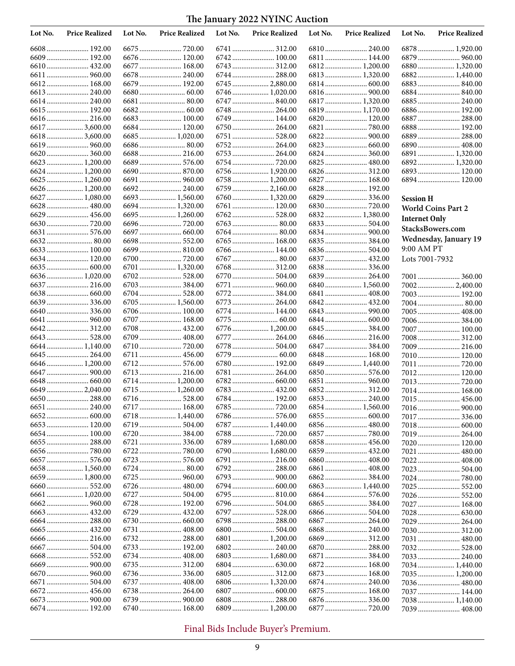| Lot No. | <b>Price Realized</b>           | Lot No. | <b>Price Realized</b>        | Lot No. | <b>Price Realized</b> | Lot No. | <b>Price Realized</b> | Lot No.              | <b>Price Realized</b> |
|---------|---------------------------------|---------|------------------------------|---------|-----------------------|---------|-----------------------|----------------------|-----------------------|
|         |                                 |         |                              |         |                       |         |                       |                      | 6878 1,920.00         |
|         | 6609 192.00                     |         |                              |         |                       |         | 6811  144.00          |                      | 6879  960.00          |
|         | 6610 432.00                     |         | 6677  168.00                 |         |                       |         | 6812 1,200.00         |                      | 6880 1,320.00         |
|         |                                 |         | 6678  240.00                 |         | 6744  288.00          |         | 6813  1,320.00        |                      |                       |
|         |                                 |         | 6679  192.00                 |         | 6745  2,880.00        |         |                       |                      |                       |
|         | 6613  240.00                    |         |                              |         | 6746  1,020.00        |         |                       |                      | 6884 840.00           |
|         | 6614 240.00                     |         | 6681  80.00                  |         |                       |         | 6817  1,320.00        |                      | 6885 240.00           |
|         | 6615 192.00                     |         |                              |         | 6748  264.00          |         | 6819  1,170.00        |                      | 6886 192.00           |
|         | 6616 216.00                     |         | 6683  100.00                 |         | 6749  144.00          |         | 6820  120.00          |                      | 6887  288.00          |
|         | 6617  3,600.00                  |         | 6684  120.00                 |         | 6750  264.00          |         |                       |                      | 6888 192.00           |
|         | 66183,600.00                    |         | 6685  1,020.00               |         | 6751  528.00          |         |                       |                      | 6889 288.00           |
|         |                                 |         |                              |         |                       |         |                       |                      |                       |
|         | 6620  360.00                    |         | 6688 216.00                  |         | 6754  720.00          |         | 6825  480.00          |                      | 6891  1,320.00        |
|         | 6623  1,200.00<br>6624 1,200.00 |         | 6689  576.00                 |         | 6756  1,920.00        |         | 6826 312.00           |                      |                       |
|         |                                 |         |                              |         | 6758  1,200.00        |         | 6827  168.00          |                      | 6894 120.00           |
|         | 6626 1,200.00                   |         |                              |         | 6759  2,160.00        |         | 6828  192.00          |                      |                       |
|         | 6627  1,080.00                  |         | 6693  1,560.00               |         | 6760  1,320.00        |         | 6829  336.00          |                      |                       |
|         | 6628  480.00                    |         | 6694  1,320.00               |         | 6761  120.00          |         |                       | <b>Session H</b>     |                       |
|         |                                 |         | 6695  1,260.00               |         |                       |         | 6832 1,380.00         |                      | World Coins Part 2    |
|         |                                 |         |                              |         |                       |         |                       | <b>Internet Only</b> |                       |
|         |                                 |         | 6697  660.00                 |         |                       |         |                       |                      | StacksBowers.com      |
|         |                                 |         |                              |         | 6765  168.00          |         |                       |                      | Wednesday, January 19 |
|         | 6633 100.00                     |         | 6699  810.00                 |         | 6766  144.00          |         |                       | 9:00 AM PT           |                       |
|         | 6634 120.00                     |         |                              |         | 6767  80.00           |         | 6837  432.00          | Lots 7001-7932       |                       |
|         |                                 |         | 6701  1,320.00               |         | 6768  312.00          |         | 6838336.00            |                      |                       |
|         | 6636 1,020.00                   |         | 6702 528.00                  |         |                       |         | 6839 264.00           |                      | 7001  360.00          |
|         | 6637  216.00                    |         |                              |         | 6771  960.00          |         | 6840  1,560.00        |                      | 70022,400.00          |
|         |                                 |         | 6704  528.00                 |         | 6772  384.00          |         |                       |                      | 7003 192.00           |
|         | 6639336.00                      |         | 6705  1,560.00               |         | 6773  264.00          |         |                       |                      | 7004 80.00            |
|         |                                 |         | 6706  100.00                 |         | 6774  144.00          |         |                       |                      | 7005 408.00           |
|         |                                 |         | 6707  168.00                 |         |                       |         | 6844  600.00          |                      | 7006 384.00           |
|         |                                 |         | 6708  432.00                 |         | 6776  1,200.00        |         |                       |                      | 7007 100.00           |
|         |                                 |         | 6709  408.00                 |         | 6777  264.00          |         |                       |                      | 7008 312.00           |
|         | 6644 1,140.00                   |         |                              |         |                       |         | 6847  384.00          |                      |                       |
|         | 6645  264.00                    |         | 6711  456.00                 |         |                       |         | 6848 168.00           |                      | 7010 120.00           |
|         | 6646 1,200.00                   |         |                              |         | 6780  192.00          |         | 6849  1,440.00        |                      |                       |
|         |                                 |         | 6713  216.00                 |         |                       |         |                       |                      | 7012 120.00           |
|         |                                 |         | 6714  1,200.00               |         |                       |         |                       |                      |                       |
|         | 6649  2,040.00                  |         | 6715  1,260.00               |         | 6783  432.00          |         | 6852 312.00           |                      | 7014 168.00           |
|         | 6651  240.00                    |         | 6717  168.00                 |         | 6784  192.00          |         |                       |                      |                       |
|         |                                 |         | 6718  1,440.00               |         |                       |         |                       | 7017                 | 336.00                |
|         |                                 |         |                              |         | 6787  1,440.00        |         |                       |                      |                       |
|         |                                 |         | 6720  384.00                 |         |                       |         |                       |                      | 7019 264.00           |
|         |                                 |         |                              |         | 6789  1,680.00        |         | 6858  456.00          |                      | 7020 120.00           |
|         |                                 |         |                              |         | 6790  1,680.00        |         | 6859  432.00          |                      | 7021  480.00          |
|         |                                 |         | 6723  576.00                 |         | 6791  216.00          |         |                       |                      | 7022 408.00           |
|         | 6658 1,560.00                   |         | 6724  80.00                  |         | 6792 288.00           |         |                       |                      |                       |
|         | 6659  1,800.00                  |         |                              |         |                       |         |                       |                      |                       |
|         |                                 |         |                              |         | 6794  600.00          |         | 6863  1,440.00        |                      | 7025 552.00           |
|         |                                 |         | 6727  504.00                 |         |                       |         |                       |                      | 7026 552.00           |
|         |                                 |         | 6728  192.00                 |         |                       |         |                       |                      |                       |
|         |                                 |         |                              |         |                       |         |                       |                      |                       |
|         | 6664  288.00                    |         |                              |         | 6798  288.00          |         |                       |                      | 7029  264.00          |
|         |                                 |         |                              |         | 6800  504.00          |         |                       |                      | 7030 312.00           |
|         |                                 |         | 6732 288.00                  |         | 6801  1,200.00        |         |                       |                      | 7031  480.00          |
|         |                                 |         |                              |         | 6802 240.00           |         | 6870  288.00          |                      | 7032 528.00           |
|         |                                 |         | 6734  408.00                 |         | 6803  1,680.00        |         | 6871  384.00          |                      | 7033 240.00           |
|         |                                 |         | 6735  312.00                 |         |                       |         |                       |                      | 7034 1,440.00         |
|         |                                 |         |                              |         |                       |         | 6873  168.00          |                      | 7035 1,200.00         |
|         |                                 |         | 6737  408.00                 |         |                       |         | 6874 240.00           |                      |                       |
|         | 6672 456.00                     |         | 6738  264.00<br>6739  900.00 |         |                       |         |                       |                      | 7037  144.00          |
|         | 6674  192.00                    |         | 6740  168.00                 |         | 6809  1,200.00        |         |                       |                      | 7038 1,140.00         |
|         |                                 |         |                              |         |                       |         |                       |                      |                       |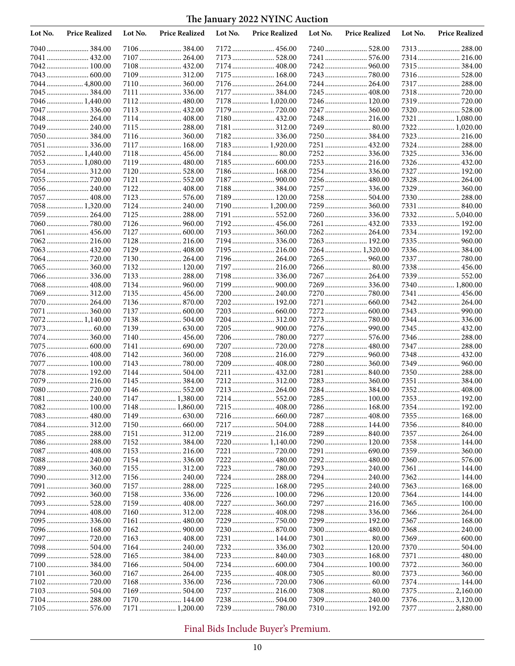| Lot No.      | <b>Price Realized</b>       | Lot No. | <b>Price Realized</b>        | Lot No. | <b>Price Realized</b>        | Lot No. | <b>Price Realized</b>       | Lot No. | <b>Price Realized</b> |
|--------------|-----------------------------|---------|------------------------------|---------|------------------------------|---------|-----------------------------|---------|-----------------------|
|              |                             |         | 7106  384.00                 |         | 7172 456.00                  |         |                             |         |                       |
| 7041         |                             |         | 7107  264.00                 |         |                              |         | 7241  576.00                |         | 7314 216.00           |
|              | 7042 100.00                 |         | 7108  432.00                 |         | 7174  408.00                 |         |                             |         | 7315  384.00          |
|              |                             |         | 7109  312.00                 |         | 7175  168.00                 |         | 7243  780.00                |         |                       |
| 7044.        |                             |         | 7110 360.00                  |         | 7176  264.00                 |         | 7244  264.00                |         | 7317  288.00          |
|              | 7045  384.00                |         | 7111  336.00                 |         | 7177  384.00                 |         | 7245  408.00                |         |                       |
|              | 7046  1,440.00              |         | 7112 480.00                  |         | 7178  1,020.00               |         | 7246  120.00                |         |                       |
|              | 7047  336.00                |         | 7113  432.00                 |         | 7179  720.00                 |         | 7247  360.00                |         | 7320 528.00           |
| 7048         | 264.00                      |         | 7114  408.00                 |         | 7180 432.00                  |         |                             |         | 7321  1,080.00        |
|              | 7049  240.00                |         | 7115  288.00                 |         | 7181  312.00                 |         | 7249  80.00                 |         | 7322 1,020.00         |
|              | 7050384.00                  |         | 7116  360.00                 |         |                              |         | 7250  384.00                |         | 7323 216.00           |
|              | 7051  336.00                |         | 7117  168.00                 |         | 7183  1,920.00               |         |                             |         | 7324 288.00           |
|              | 7052 1,440.00               |         | 7118  456.00                 |         |                              |         | 7252336.00                  |         | 7325  336.00          |
|              | 7053 1,080.00               |         | 7119  480.00                 |         |                              |         |                             |         | 7326  432.00          |
|              |                             |         | 7120  528.00                 |         | 7186  168.00                 |         | 7254336.00                  |         | 7327  192.00          |
|              | 7055  720.00                |         | 7121  552.00                 |         | 7187  900.00                 |         | 7256  480.00                |         | 7328  264.00          |
|              | 7056 240.00                 |         | 7122 408.00                  |         | 7188 384.00                  |         | 7257  336.00                |         | 7329  360.00          |
|              | 7057  408.00                |         | 7123  576.00                 |         | 7189  120.00                 |         | 7258  504.00                |         | 7330 288.00           |
|              | 7058 1,320.00               |         | 7124  240.00                 |         | 7190 1,200.00                |         | 7259  360.00                |         | 7331  840.00          |
|              | 7059  264.00                |         | 7125  288.00                 |         | 7191  552.00                 |         | 7260  336.00                |         |                       |
|              |                             |         | 7126  960.00                 |         | 7192 456.00                  |         |                             |         | 7333 192.00           |
| 7061<br>7062 | 456.00                      |         | 7127  600.00                 |         | 7193  360.00                 |         |                             |         | 7334 192.00           |
|              | 7063 432.00                 |         | 7128  216.00<br>7129  408.00 |         | 7194  336.00<br>7195  216.00 |         | 7263  192.00                |         | 7336 384.00           |
|              |                             |         | 7130 264.00                  |         | 7196  264.00                 |         |                             |         | 7337  780.00          |
|              |                             |         | 7132 120.00                  |         | 7197  216.00                 |         |                             |         |                       |
|              | 7066336.00                  |         | 7133  288.00                 |         | 7198  336.00                 |         | 7267  264.00                |         |                       |
|              | 7068 408.00                 |         |                              |         | 7199  900.00                 |         | 7269  336.00                |         | 7340  1,800.00        |
|              | 7069 312.00                 |         |                              |         |                              |         | 7270  780.00                |         | 7341  456.00          |
| 7070.        |                             |         |                              |         | 7202 192.00                  |         |                             |         | 7342 264.00           |
| 7071         |                             |         | 7137  600.00                 |         |                              |         |                             |         |                       |
| 7072         | 1,140.00                    |         |                              |         | 7204  312.00                 |         | 7273  780.00                |         | 7344 336.00           |
|              |                             |         |                              |         |                              |         |                             |         | 7345  432.00          |
|              | 7074 360.00                 |         | 7140  456.00                 |         |                              |         | 7277  576.00                |         | 7346  288.00          |
|              | 7075  600.00                |         | 7141  690.00                 |         | 7207  720.00                 |         |                             |         | 7347  288.00          |
|              | 7076 408.00                 |         | 7142 360.00                  |         | 7208  216.00                 |         | 7279  960.00                |         | 7348 432.00           |
| 7077         |                             |         |                              |         | 7209  408.00                 |         | 7280 360.00                 |         | 7349  960.00          |
|              | 7078 192.00                 |         | 7144  504.00                 |         | 7211  432.00                 |         |                             |         | 7350 288.00           |
|              | 7079 216.00                 |         |                              |         | 7212 312.00                  |         | 7283 360.00                 |         | 7351  384.00          |
|              |                             |         | 7146  552.00                 |         | 7213  264.00                 |         |                             |         | 7352 408.00           |
|              | 7081  240.00                |         | 7147  1,380.00               |         | 7214  552.00                 |         | 7285  100.00                |         | 7353 192.00           |
|              | 7082 100.00                 |         | 7148  1,860.00               |         | 7215  408.00                 |         |                             |         | 7354 192.00           |
|              |                             |         |                              |         |                              |         |                             |         |                       |
|              |                             |         |                              |         |                              |         | 7288 144.00                 |         |                       |
|              |                             |         | 7151  312.00                 |         | 7219  216.00                 |         |                             |         | 7357  264.00          |
|              |                             |         |                              |         | 7220  1,140.00               |         | 7290 120.00                 |         | 7358 144.00           |
|              |                             |         | 7153  216.00                 |         | 7221  720.00                 |         |                             |         | 7359  360.00          |
|              | 7088 240.00                 |         |                              |         |                              |         |                             |         |                       |
|              | 7089 360.00                 |         | 7155  312.00                 |         | 7223  780.00                 |         | 7293  240.00                |         | 7361  144.00          |
|              | 7090 312.00                 |         |                              |         | 7224  288.00                 |         | 7294  240.00                |         | 7362 144.00           |
|              |                             |         | 7157  288.00                 |         | 7225  168.00                 |         |                             |         | 7363 168.00           |
|              |                             |         |                              |         | 7226  100.00                 |         | 7296  120.00                |         | 7364  144.00          |
|              | 7093 528.00                 |         |                              |         | 7227  360.00                 |         | 7297  216.00                |         | 7365 100.00           |
|              |                             |         | 7160 312.00                  |         | 7228  408.00                 |         | 7298 336.00                 |         |                       |
|              |                             |         |                              |         |                              |         | 7299  192.00                |         | 7367  168.00          |
|              | 7096 168.00<br>7097  720.00 |         |                              |         | 7231  144.00                 |         | 7300  480.00<br>7301  80.00 |         | 7368 240.00           |
|              |                             |         |                              |         |                              |         |                             |         |                       |
|              |                             |         |                              |         |                              |         | 7303  168.00                |         |                       |
|              |                             |         |                              |         |                              |         | 7304 100.00                 |         |                       |
|              |                             |         | 7167  264.00                 |         |                              |         |                             |         |                       |
|              |                             |         |                              |         |                              |         |                             |         | 7374 144.00           |
|              |                             |         | 7169  504.00                 |         |                              |         |                             |         | 7375  2,160.00        |
|              |                             |         | 7170  144.00                 |         | 7238  504.00                 |         | 7309  240.00                |         | 7376  3,120.00        |
|              |                             |         | 7171  1,200.00               |         | 7239  780.00                 |         | 7310 192.00                 |         | 7377  2,880.00        |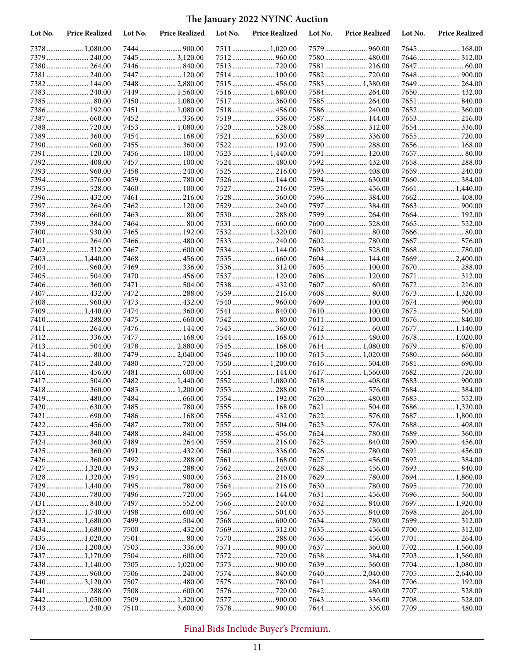| Lot No. | <b>Price Realized</b>           | Lot No. | <b>Price Realized</b>            | Lot No. | <b>Price Realized</b>         | Lot No. | <b>Price Realized</b>        | Lot No. | <b>Price Realized</b> |
|---------|---------------------------------|---------|----------------------------------|---------|-------------------------------|---------|------------------------------|---------|-----------------------|
|         | 7378 1,080.00                   |         | 7444  900.00                     |         | 7511  1,020.00                |         |                              |         | 7645  168.00          |
|         | 7379  240.00                    |         | 7445  3,120.00                   |         |                               |         | 7580 480.00                  |         | 7646 312.00           |
|         | 7380 264.00                     |         |                                  |         | 7513  720.00                  |         | 7581  216.00                 |         |                       |
|         | 7381  240.00                    |         | 7447  120.00                     |         | 7514  100.00                  |         |                              |         |                       |
|         | 7382 144.00                     |         | 7448  2,880.00                   |         |                               |         | 7583 1,380.00                |         |                       |
|         |                                 |         | 7449  1,560.00                   |         | 7516  1,680.00                |         |                              |         | 7650 432.00           |
|         | 7386 192.00                     |         | 7450  1,080.00<br>7451  1,080.00 |         | 7517  360.00<br>7518  456.00  |         | 7585  264.00<br>7586  240.00 |         |                       |
|         | 7387  660.00                    |         | 7452336.00                       |         | 7519  336.00                  |         | 7587  144.00                 |         | 7653 216.00           |
|         |                                 |         | 7453  1,080.00                   |         | 7520  528.00                  |         | 7588 312.00                  |         |                       |
|         |                                 |         | 7454  168.00                     |         |                               |         | 7589  336.00                 |         |                       |
|         |                                 |         | 7455  360.00                     |         | 7522 192.00                   |         |                              |         | 7656 168.00           |
|         | 7391  120.00                    |         | 7456 100.00                      |         | 7523  1,440.00                |         | 7591  120.00                 |         | 7657  80.00           |
|         | 7392 408.00                     |         | 7457  100.00                     |         | 7524  480.00                  |         |                              |         | 7658 288.00           |
|         |                                 |         |                                  |         | 7525  216.00                  |         | 7593  408.00                 |         | 7659  240.00          |
|         |                                 |         |                                  |         | 7526  144.00                  |         |                              |         |                       |
| 7395    |                                 |         | 7460  100.00                     |         | 7527  216.00                  |         | 7595  456.00                 |         |                       |
|         | 7396 432.00                     |         | 7461  216.00                     |         | 7528  360.00                  |         | 7596384.00                   |         |                       |
|         | 7397  264.00                    |         | 7462 120.00                      |         | 7529  240.00                  |         | 7597  384.00                 |         |                       |
|         |                                 |         |                                  |         | 7530  288.00                  |         | 7599  264.00                 |         | 7664 192.00           |
| 7399    |                                 |         |                                  |         |                               |         | 7600  528.00                 |         |                       |
| 7401    | 264.00                          |         | 7465  192.00<br>7466  480.00     |         | 7532 1,320.00<br>7533  240.00 |         | 7601  80.00                  |         | 7667  576.00          |
|         |                                 |         | 7467  600.00                     |         | 7534  144.00                  |         |                              |         |                       |
|         | 7403  1,440.00                  |         | 7468  456.00                     |         |                               |         | 7604 144.00                  |         | 7669  2,400.00        |
|         |                                 |         |                                  |         | 7536  312.00                  |         | 7605  100.00                 |         | 7670 288.00           |
| 7405    |                                 |         | 7470  456.00                     |         | 7537  120.00                  |         |                              |         |                       |
|         |                                 |         | 7471  504.00                     |         |                               |         |                              |         | 7672 216.00           |
|         | 7407  432.00                    |         | 7472 288.00                      |         | 7539  216.00                  |         |                              |         | 7673  1,320.00        |
|         |                                 |         | 7473  432.00                     |         |                               |         | 7609  100.00                 |         |                       |
| 7409.   | 1,440.00                        |         | 7474  360.00                     |         | 7541  840.00                  |         | 7610 100.00                  |         | 7675  504.00          |
|         | 7410 288.00                     |         | 7475  660.00                     |         | 7542  80.00                   |         | 7611  100.00                 |         |                       |
| 741 l   | 264.00                          |         | 7476  144.00                     |         | 7543  360.00                  |         |                              |         | 7677  1,140.00        |
|         | 7412336.00                      |         | 7477  168.00                     |         | 7544  168.00                  |         | 7613 480.00                  |         | 7678  1,020.00        |
|         | 7413  504.00                    |         | 7478  2,880.00                   |         | 7545  168.00                  |         | 7614 1,080.00                |         |                       |
|         | 7415  240.00                    |         | 7479  2,040.00<br>7480  720.00   |         | 7550  1,200.00                |         | 7615 1,020.00                |         |                       |
| 7416.   | 456.00                          |         | 7481  600.00                     |         | 7551  144.00                  |         | 7617  1,560.00               |         |                       |
|         | 7417  504.00                    |         | 7482 1,440.00                    |         | 7552  1,080.00                |         | 7618 408.00                  |         |                       |
|         | 7418 360.00                     |         | 7483  1,200.00                   |         | 7553  288.00                  |         |                              |         | 7684384.00            |
|         | 7419 480.00                     |         |                                  |         | 7554  192.00                  |         | 7620  480.00                 |         | 7685  552.00          |
|         |                                 |         |                                  |         | 7555  168.00                  |         | 7621  504.00                 |         | 7686 1,320.00         |
|         | 7421  690.00                    |         | 7486  168.00                     |         |                               |         |                              |         | 7687  1,800.00        |
|         |                                 |         | 7487  780.00                     |         | 7557  504.00                  |         |                              |         |                       |
|         | 7423  840.00                    |         |                                  |         |                               |         |                              |         | 7689 360.00           |
|         | 7424  360.00                    |         | 7489  264.00                     |         | 7559  216.00                  |         |                              |         | 7690 456.00           |
|         |                                 |         | 7491  432.00                     |         | 7560  336.00                  |         |                              |         |                       |
|         |                                 |         |                                  |         | 7561  168.00                  |         |                              |         |                       |
|         | 7427  1,320.00<br>7428 1,320.00 |         |                                  |         | 7562 240.00<br>7563  216.00   |         | 7628  456.00                 |         | 7694 1,860.00         |
|         | 7429  1,440.00                  |         |                                  |         | 7564  216.00                  |         |                              |         |                       |
|         |                                 |         |                                  |         | 7565  144.00                  |         |                              | 7696    | 360.00                |
|         | 7431  840.00                    |         |                                  |         |                               |         |                              |         | 7697  1,920.00        |
|         | 7432 1,740.00                   |         | 7498  600.00                     |         |                               |         |                              |         | 7698 264.00           |
|         | 7433 1,680.00                   |         | 7499  504.00                     |         |                               |         |                              |         |                       |
|         | 7434  1,680.00                  |         | 7500  432.00                     |         | 7569  312.00                  |         | 7635  456.00                 |         | 7700 312.00           |
|         | 7435 1,020.00                   |         | 7501  80.00                      |         | 7570  288.00                  |         |                              |         |                       |
|         |                                 |         |                                  |         |                               |         |                              |         | 7702 1,560.00         |
|         | 7437  1,170.00                  |         |                                  |         |                               |         | 7638384.00                   |         | 7703 1,560.00         |
|         | 7438 1,140.00                   |         | 7505  1,020.00                   |         |                               |         |                              |         | 7704 1,080.00         |
|         |                                 |         | 7506  240.00                     |         | 7574  840.00                  |         |                              |         | 7705  2,640.00        |
|         | 74403,120.00                    |         |                                  |         |                               |         | 7641  264.00                 |         |                       |
|         | 7441  288.00<br>7442 1,050.00   |         |                                  |         |                               |         |                              |         | 7708 528.00           |
|         | 7443  240.00                    |         | 7509  1,320.00<br>7510  3,600.00 |         |                               |         |                              |         | 7709  480.00          |
|         |                                 |         |                                  |         |                               |         |                              |         |                       |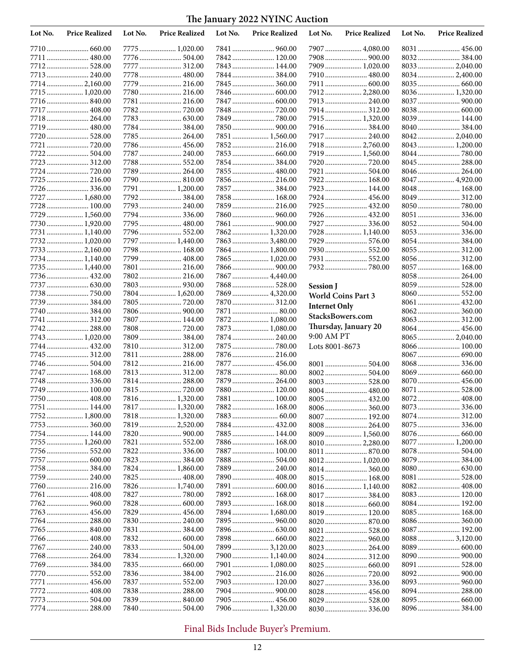| Lot No.      | <b>Price Realized</b>       | Lot No. | <b>Price Realized</b>          | Lot No. | <b>Price Realized</b>          | Lot No.              | <b>Price Realized</b>        | Lot No. | <b>Price Realized</b>        |
|--------------|-----------------------------|---------|--------------------------------|---------|--------------------------------|----------------------|------------------------------|---------|------------------------------|
|              |                             |         | 7775  1,020.00                 |         | 7841  960.00                   |                      | 7907  4,080.00               |         | 8031  456.00                 |
|              | 7711  480.00                |         | 7776  504.00                   |         | 7842 120.00                    |                      |                              |         | 8032 384.00                  |
| 7712.        |                             |         | 7777  312.00                   |         | 7843  144.00                   |                      | 7909  1,020.00               |         | 8033  2,040.00               |
|              | 7713 240.00                 |         | 7778  480.00                   |         | 7844  384.00                   |                      |                              |         |                              |
|              | 77142,160.00                |         | 7779  216.00                   |         | 7845  360.00                   |                      | 7911  600.00                 |         |                              |
| 7715         |                             |         | 7780 216.00                    |         |                                |                      | 7912 2,280.00                |         | 8036 1,320.00                |
|              |                             |         | 7781  216.00                   |         | 7847  600.00                   |                      | 7913  240.00                 |         | 8037  900.00                 |
|              | 7717  408.00                |         |                                |         | 7848  720.00                   |                      |                              |         |                              |
|              | 7718 264.00                 |         |                                |         |                                |                      | 7915  1,320.00               |         | 8039 144.00                  |
| 7719<br>7720 | 480.00                      |         | 7785  264.00                   |         | 7850  900.00<br>7851  1,560.00 |                      | 7916  384.00<br>7917  240.00 |         |                              |
| 7721         |                             |         | 7786 456.00                    |         |                                |                      | 7918  2,760.00               |         | 8043  1,200.00               |
|              | 7722 504.00                 |         | 7787  240.00                   |         | 7853  660.00                   |                      | 7919 1,560.00                |         |                              |
|              | 7723 312.00                 |         | 7788 552.00                    |         |                                |                      |                              |         | 8045  288.00                 |
|              |                             |         | 7789  264.00                   |         | 7855  480.00                   |                      | 7921  504.00                 |         | 8046  264.00                 |
|              | 7725  216.00                |         |                                |         | 7856  216.00                   |                      | 7922 168.00                  |         | 8047  4,920.00               |
|              | 7726336.00                  |         | 7791  1,200.00                 |         |                                |                      | 7923  144.00                 |         |                              |
|              | 7727  1,680.00              |         | 7792384.00                     |         | 7858  168.00                   |                      | 7924  456.00                 |         | 8049  312.00                 |
|              | 7728 100.00                 |         | 7793  240.00                   |         | 7859  216.00                   |                      | 7925  432.00                 |         |                              |
|              | 7729  1,560.00              |         | 7794336.00                     |         | 7860  960.00                   |                      | 7926  432.00                 |         | 8051  336.00                 |
|              | 7730 1,920.00               |         | 7795  480.00                   |         |                                |                      | 7927  336.00                 |         |                              |
|              | 7731 1,140.00               |         | 7796  552.00                   |         | 7862 1,320.00                  |                      | 7928  1,140.00               |         | 8053  336.00                 |
|              | 7732 1,020.00               |         | 7797  1,440.00                 |         | 7863  3,480.00                 |                      | 7929  576.00                 |         |                              |
|              |                             |         | 7798 168.00                    |         | 7864  1,800.00                 |                      | 7930 552.00                  |         | 8055  312.00                 |
|              | 7734 1,140.00               |         | 7799  408.00                   |         | 7865  1,020.00                 |                      | 7931  552.00                 |         | 8056 312.00                  |
|              | 7735  1,440.00              |         | 7801  216.00                   |         | 7866  900.00                   |                      |                              |         | 8057  168.00                 |
|              |                             |         | 7802 216.00                    |         | 7867  4,440.00                 |                      |                              |         | 8058 264.00                  |
|              |                             |         |                                |         | 7868  528.00                   | <b>Session</b> J     |                              |         | 8059  528.00                 |
| 7738         | 750.00                      |         | 7804 1,620.00                  |         | 7869  4,320.00                 |                      | <b>World Coins Part 3</b>    |         | 8060  552.00<br>8061  432.00 |
|              | 7739  384.00<br>7740384.00  |         |                                |         | 7870  312.00                   | <b>Internet Only</b> |                              |         |                              |
|              | 7741  312.00                |         | 7807  144.00                   |         | 7872  1,080.00                 |                      | StacksBowers.com             |         | 8063  312.00                 |
| 7742         | 288.00                      |         | 7808  720.00                   |         | 7873  1,080.00                 |                      | Thursday, January 20         |         | 8064 456.00                  |
|              | 7743  1,020.00              |         | 7809  384.00                   |         | 7874  240.00                   | 9:00 AM PT           |                              |         | 8065  2,040.00               |
|              | 7744 432.00                 |         | 7810 312.00                    |         | 7875  780.00                   | Lots 8001-8673       |                              |         | 8066  100.00                 |
| 7745         |                             |         | 7811  288.00                   |         |                                |                      |                              |         |                              |
|              |                             |         | 7812 216.00                    |         | 7877  456.00                   |                      |                              |         | 8068 336.00                  |
|              | 7747  168.00                |         | 7813 312.00                    |         | 7878  80.00                    |                      | 8002 504.00                  |         |                              |
|              | 7748  336.00                |         | 7814 288.00                    |         | 7879  264.00                   |                      |                              |         | 8070  456.00                 |
| 7749         | 100.00                      |         | 7815  720.00                   |         | 7880 120.00                    |                      |                              |         | 8071  528.00                 |
|              | 7750 408.00                 |         |                                |         | 7881  100.00                   |                      |                              |         | 8072 408.00                  |
|              | 7751  144.00                |         | 7817  1,320.00                 |         | 7882 168.00                    |                      |                              |         |                              |
|              | 7752 1,800.00               |         | 7818 1,320.00                  |         |                                |                      | 8007  192.00                 |         | 8074  312.00                 |
|              | 7753  360.00                |         | 7819  2,520.00                 |         |                                |                      | 8008  264.00                 |         |                              |
|              | 7754 144.00                 |         |                                |         | 7885  144.00                   |                      | 8009  1,560.00               |         |                              |
|              | 7755  1,260.00              |         | 7821  552.00                   |         | 7886  168.00                   |                      | 8010  2,280.00               |         | 8077 1,200.00                |
|              |                             |         |                                |         | 7887  100.00                   |                      |                              |         |                              |
|              | 7757  600.00<br>7758 384.00 |         |                                |         | 7888 504.00                    |                      | 8012 1,020.00                |         |                              |
|              | 7759  240.00                |         | 7824  1,860.00<br>7825  408.00 |         | 7890  408.00                   |                      | 8014 360.00                  |         |                              |
|              |                             |         | 7826  1,740.00                 |         |                                |                      |                              |         |                              |
|              | 7761  408.00                |         |                                |         | 7892 168.00                    |                      |                              |         | 8083  120.00                 |
|              |                             |         | 7828  600.00                   |         | 7893  168.00                   |                      |                              |         | 8084 192.00                  |
|              |                             |         | 7829  456.00                   |         | 7894  1,680.00                 |                      | 8019 120.00                  |         | 8085  168.00                 |
|              | 7764  288.00                |         |                                |         |                                |                      |                              |         |                              |
|              |                             |         |                                |         |                                |                      | 8021  528.00                 |         | 8087 192.00                  |
|              | 7766  408.00                |         |                                |         |                                |                      |                              |         |                              |
|              | 7767  240.00                |         |                                |         | 7899  3,120.00                 |                      | 8023  264.00                 |         |                              |
|              | 7768 264.00                 |         | 7834  1,320.00                 |         | 7900  1,140.00                 |                      | 8024  312.00                 |         |                              |
|              | 7769384.00                  |         |                                |         | 7901  1,080.00                 |                      | 8025  660.00                 |         |                              |
|              |                             |         | 7836  384.00                   |         |                                |                      | 8026  720.00                 |         |                              |
|              | 7771  456.00                |         | 7837  552.00                   |         | 7903  120.00                   |                      | 8027  336.00                 |         |                              |
|              | 7772 408.00                 |         |                                |         |                                |                      | 8028  456.00                 |         |                              |
|              |                             |         | 7839  840.00                   |         | 7905  456.00                   |                      | 8029  528.00                 |         |                              |
|              | 7774  288.00                |         | 7840 504.00                    |         | 7906  1,320.00                 |                      |                              |         | 8096384.00                   |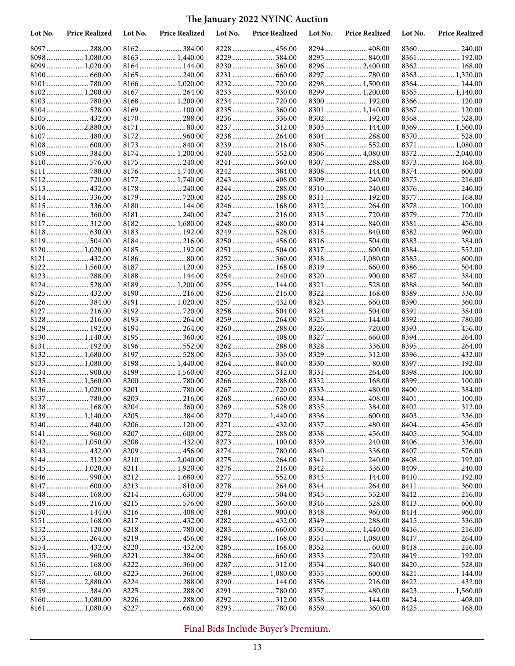| Lot No. | <b>Price Realized</b> | Lot No. | <b>Price Realized</b> | Lot No. | <b>Price Realized</b> | Lot No. | <b>Price Realized</b> | Lot No. | <b>Price Realized</b> |
|---------|-----------------------|---------|-----------------------|---------|-----------------------|---------|-----------------------|---------|-----------------------|
|         | 8097  288.00          |         |                       |         |                       |         |                       |         | 8360 240.00           |
|         | 8098  1,080.00        |         | 8163  1,440.00        |         | 8229  384.00          |         | 8295  840.00          |         | 8361  192.00          |
|         | 8099  1,020.00        |         | 8164  144.00          |         | 8230  360.00          |         | 8296  2,400.00        |         | 8362 168.00           |
|         |                       |         | 8165  240.00          |         |                       |         |                       |         | 8363 1,320.00         |
|         |                       |         | 8166  1,020.00        |         |                       |         | 8298 1,500.00         |         | 8364 144.00           |
|         | 8102 1,200.00         |         |                       |         |                       |         | 8299  1,200.00        |         | 8365  1,140.00        |
|         |                       |         | 8168  1,200.00        |         | 8234  720.00          |         | 8300  192.00          |         | 8366 120.00           |
|         | 8104 528.00           |         | 8169  100.00          |         | 8235  360.00          |         | 8301  1,140.00        |         | 8367  120.00          |
|         | 8105  432.00          |         | 8170  288.00          |         | 8236  336.00          |         |                       |         | 8368 528.00           |
|         | 81062,880.00          |         |                       |         |                       |         | 8303 144.00           |         | 8369  1,560.00        |
|         |                       |         |                       |         | 8238  264.00          |         | 8304 288.00           |         | 8370 528.00           |
|         |                       |         | 8173  840.00          |         |                       |         |                       |         | 8371  1,080.00        |
|         | 8109384.00            |         | 8174  1,200.00        |         |                       |         | 8306  4,080.00        |         |                       |
| 8110    |                       |         | 8175  240.00          |         | 8241  360.00          |         | 8307  288.00          |         | 8373  168.00          |
| 8111    |                       |         | 8176  1,740.00        |         |                       |         | 8308 144.00           |         |                       |
| 8112    |                       |         | 8177  1,740.00        |         | 8243  408.00          |         | 8309 240.00           |         | 8375 216.00           |
|         | 8113 432.00           |         | 8178  240.00          |         |                       |         | 8310  240.00          |         | 8376 240.00           |
|         |                       |         |                       |         |                       |         | 8311  192.00          |         | 8377  168.00          |
|         | 8115  336.00          |         | 8180 144.00           |         |                       |         | 8312 264.00           |         | 8378 100.00           |
|         | 8116 360.00           |         | 8181  240.00          |         |                       |         |                       |         |                       |
|         |                       |         | 8182 1,680.00         |         | 8248  480.00          |         |                       |         |                       |
|         |                       |         |                       |         |                       |         |                       |         |                       |
|         |                       |         | 8183 192.00           |         | 8249  528.00          |         | 8315 840.00           |         |                       |
|         | 8119 504.00           |         | 8184  216.00          |         | 8250  456.00          |         |                       |         | 8383 384.00           |
|         | 8120 1,020.00         |         | 8185 192.00           |         | 8251  504.00          |         | 8317  600.00          |         | 8384 552.00           |
|         |                       |         |                       |         |                       |         | 8318  1,080.00        |         |                       |
|         | 8122 1,560.00         |         | 8187  120.00          |         | 8253  168.00          |         |                       |         | 8386 504.00           |
|         | 8123  288.00          |         | 8188 144.00           |         |                       |         | 8320  900.00          |         | 8387  384.00          |
|         | 8124 528.00           |         | 8189  1,200.00        |         | 8255  144.00          |         |                       |         | 8388 360.00           |
|         | 8125  432.00          |         | 8190  216.00          |         | 8256  216.00          |         | 8322  168.00          |         |                       |
|         |                       |         | 8191  1,020.00        |         | 8257  432.00          |         | 8323  660.00          |         |                       |
|         | 8127  216.00          |         |                       |         |                       |         | 8324  504.00          |         | 8391  384.00          |
|         | 8128 216.00           |         | 8193  264.00          |         | 8259  264.00          |         |                       |         |                       |
|         | 8129 192.00           |         | 8194  264.00          |         |                       |         | 8326  720.00          |         | 8393 456.00           |
|         | 8130 1,140.00         |         | 8195  360.00          |         |                       |         |                       |         | 8394  264.00          |
|         | 8131 192.00           |         |                       |         |                       |         |                       |         | 8395 264.00           |
|         | 8132 1,680.00         |         |                       |         |                       |         |                       |         | 8396  432.00          |
|         | 8133 1,080.00         |         | 8198  1,440.00        |         |                       |         |                       |         | 8397  192.00          |
|         |                       |         | 8199  1,560.00        |         |                       |         | 8331  264.00          |         | 8398 100.00           |
|         | 8135 1,560.00         |         |                       |         | 8266  288.00          |         | 8332 168.00           |         | 8399 100.00           |
|         | 8136 1,020.00         |         |                       |         |                       |         | 8333  480.00          |         |                       |
|         | 8137  780.00          |         | 8203  216.00          |         |                       |         |                       |         |                       |
|         | 8138 168.00           |         | 8204  360.00          |         | 8269  528.00          |         | 8335  384.00          |         | 8402 312.00           |
|         | 8139 1,140.00         |         |                       |         | 8270  1,440.00        |         |                       | 8403    | 336.00                |
|         |                       |         | 8206  120.00          |         | 8271  432.00          |         | 8337  480.00          |         |                       |
|         | 8141  960.00          |         | 8207  600.00          |         |                       |         | 8338 456.00           |         |                       |
|         |                       |         | 8208  432.00          |         |                       |         |                       |         |                       |
|         |                       |         | 8209  456.00          |         |                       |         | 8340  336.00          |         |                       |
|         |                       |         | 8210  2,040.00        |         | 8275  264.00          |         |                       |         | 8408 192.00           |
|         | 8145  1,020.00        |         |                       |         |                       |         |                       |         | 8409 240.00           |
|         |                       |         |                       |         |                       |         |                       |         | 8410 192.00           |
|         | 8147  600.00          |         |                       |         |                       |         |                       |         |                       |
|         | 8148 168.00           |         |                       |         |                       |         |                       |         |                       |
|         |                       |         |                       |         |                       |         |                       |         |                       |
|         | 8150 144.00           |         | 8216  408.00          |         |                       |         |                       |         |                       |
|         | 8151  168.00          |         |                       |         |                       |         | 8349  288.00          |         |                       |
|         | 8152 120.00           |         | 8218  780.00          |         |                       |         | 8350 1,440.00         |         | 8416 216.00           |
|         | 8153 264.00           |         |                       |         | 8284  168.00          |         |                       |         |                       |
|         | 8154  432.00          |         |                       |         |                       |         |                       |         |                       |
|         |                       |         |                       |         |                       |         |                       |         |                       |
|         |                       |         |                       |         |                       |         |                       |         | 8420  528.00          |
|         |                       |         |                       |         | 8289  1,080.00        |         |                       |         |                       |
|         | 8158 2,880.00         |         |                       |         | 8290  144.00          |         | 8356 216.00           |         | 8422 432.00           |
|         | 8159  384.00          |         |                       |         |                       |         | 8357  480.00          |         |                       |
|         | 8160 1,080.00         |         | 8226  288.00          |         | 8292  312.00          |         | 8358 144.00           |         |                       |
|         | 8161  1,080.00        |         |                       |         |                       |         |                       |         |                       |
|         |                       |         |                       |         |                       |         |                       |         |                       |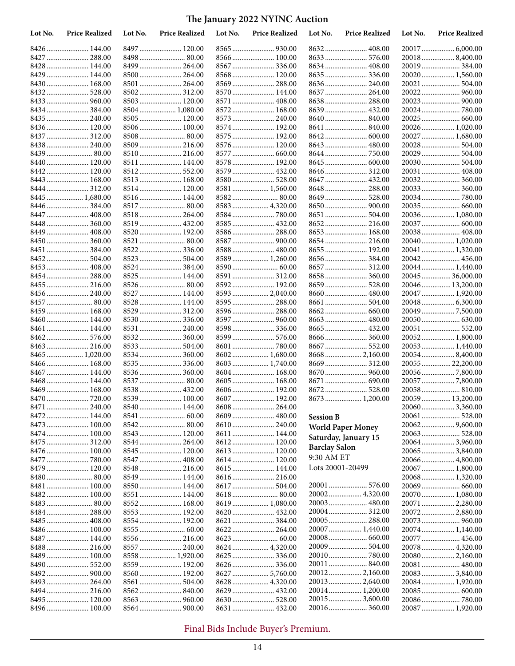| Lot No. | <b>Price Realized</b>          | Lot No. | <b>Price Realized</b>        | Lot No. | <b>Price Realized</b>        | Lot No.              | <b>Price Realized</b>            | Lot No. | <b>Price Realized</b>             |
|---------|--------------------------------|---------|------------------------------|---------|------------------------------|----------------------|----------------------------------|---------|-----------------------------------|
|         | 8426 144.00                    |         | 8497  120.00                 |         |                              |                      | 8632 408.00                      |         |                                   |
|         | 8427  288.00                   |         | 8498 80.00                   |         | 8566  100.00                 |                      |                                  |         | 200188,400.00                     |
|         | 8428 144.00                    |         | 8499  264.00                 |         | 8567  336.00                 |                      | 8634  408.00                     |         | 20019  384.00                     |
|         | 8429  144.00                   |         | 8500  264.00                 |         | 8568  120.00                 |                      |                                  |         | 20020  1,560.00                   |
|         | 8430 168.00                    |         | 8501  264.00                 |         |                              |                      |                                  |         | 20021  504.00                     |
|         | 8432 528.00                    |         |                              |         | 8570  144.00                 |                      | 8637  264.00                     |         |                                   |
|         |                                |         | 8503  120.00                 |         |                              |                      | 8638  288.00                     |         |                                   |
|         | 8434384.00                     |         | $8504$ 1,080.00              |         | 8572  168.00                 |                      | 8639  432.00                     |         | 20024  780.00                     |
|         | 8435 240.00                    |         | 8505  120.00                 |         |                              |                      |                                  |         | 20025 660.00                      |
|         | 8436 120.00                    |         | 8506  100.00                 |         | 8574  192.00                 |                      |                                  |         | 20026 1,020.00                    |
|         | 8437  312.00                   |         |                              |         | 8575  192.00                 |                      |                                  |         | 20027  1,680.00                   |
|         | 8438 240.00<br>8439 80.00      |         | 8509  216.00<br>8510 216.00  |         | 8576  120.00<br>8577  660.00 |                      | 8643  480.00<br>8644  750.00     |         | 20028 504.00<br>20029  504.00     |
|         | 8440 120.00                    |         | 8511  144.00                 |         | 8578  192.00                 |                      |                                  |         |                                   |
| 8442    |                                |         | 8512 552.00                  |         | 8579  432.00                 |                      |                                  |         | 20031  408.00                     |
|         | 8443  168.00                   |         | 8513  168.00                 |         | 8580  528.00                 |                      | 8647  432.00                     |         |                                   |
|         | 8444 312.00                    |         | 8514  120.00                 |         | 8581  1,560.00               |                      | 8648  288.00                     |         |                                   |
|         | 8445  1,680.00                 |         | 8516  144.00                 |         |                              |                      | 8649  528.00                     |         | 20034  780.00                     |
|         | 8446  384.00                   |         |                              |         | 8583  4,320.00               |                      |                                  |         |                                   |
|         | 8447  408.00                   |         | 8518 264.00                  |         | 8584  780.00                 |                      | 8651  504.00                     |         | 20036 1,080.00                    |
|         | 8448 360.00                    |         | 8519  432.00                 |         | 8585  432.00                 |                      |                                  |         |                                   |
|         | 8449  408.00                   |         | 8520  192.00                 |         |                              |                      | 8653  168.00                     |         | 20038 408.00                      |
|         | 8450 360.00                    |         | 8521  80.00                  |         | 8587  900.00                 |                      | 8654  216.00                     |         | 20040  1,020.00                   |
|         | 8451  384.00                   |         | 8522  336.00                 |         | 8588  480.00                 |                      |                                  |         | 20041  1,320.00                   |
|         |                                |         | 8523  504.00                 |         | 8589  1,260.00               |                      |                                  |         |                                   |
|         |                                |         | 8524  384.00                 |         |                              |                      | 8657  312.00                     |         | 20044  1,440.00                   |
|         | 8454 288.00                    |         | 8525  144.00                 |         | 8591  312.00                 |                      | 8658  360.00                     |         | 20045  36,000.00                  |
|         | 8455  216.00                   |         | 8526  80.00                  |         | 8592  192.00                 |                      |                                  |         | 20046  13,200.00                  |
|         | 8456  240.00                   |         | 8527  144.00                 |         | 8593  2,040.00               |                      | 8660  480.00                     |         | 20047  1,920.00                   |
|         | 8457  80.00                    |         | 8528  144.00                 |         | 8595  288.00                 |                      | 8661  504.00                     |         |                                   |
|         | 8459 168.00                    |         | 8529  312.00                 |         | 8596  288.00                 |                      |                                  |         |                                   |
|         | 8460 144.00                    |         | 8530  336.00                 |         | 8597  960.00                 |                      |                                  |         | 20050 630.00                      |
|         | 8461  144.00                   |         | 8531  240.00                 |         | 8598  336.00                 |                      |                                  |         | 20051  552.00                     |
| 8462    |                                |         | 8532 360.00                  |         | 8599  576.00                 |                      | 8666  360.00                     |         | 20052 1,800.00                    |
|         | 8463  216.00<br>8465  1,020.00 |         | 8533  504.00                 |         | 8602 1,680.00                |                      | 8667  552.00<br>8668  2,160.00   |         | 20053 1,440.00                    |
|         | 8466  168.00                   |         | 8534  360.00<br>8535  336.00 |         | 8603  1,740.00               |                      |                                  |         | 200548,400.00<br>20055  22,200.00 |
|         | 8467  144.00                   |         |                              |         | 8604  168.00                 |                      | 8670  960.00                     |         |                                   |
|         | 8468 144.00                    |         | 8537  80.00                  |         | 8605  168.00                 |                      |                                  |         |                                   |
|         | 8469 168.00                    |         | 8538 432.00                  |         | 8606  192.00                 |                      |                                  |         |                                   |
|         | 8470  720.00                   |         | 8539  100.00                 |         | 8607  192.00                 |                      | 8673  1,200.00                   |         | 20059  13,200.00                  |
|         | 8471  240.00                   |         |                              |         | 8608  264.00                 |                      |                                  |         | 20060 3,360.00                    |
|         |                                |         |                              |         |                              | <b>Session B</b>     |                                  |         |                                   |
|         | 8473  100.00                   |         | 8542 80.00                   |         |                              |                      | World Paper Money                |         |                                   |
|         | 8474 100.00                    |         | 8543  120.00                 |         | 8611  144.00                 |                      | Saturday, January 15             |         | 20063 528.00                      |
|         | 8475  312.00                   |         | 8544  264.00                 |         |                              |                      |                                  |         | 200643,960.00                     |
|         | 8476 100.00                    |         | 8545  120.00                 |         |                              | <b>Barclay Salon</b> |                                  |         | 20065  3,840.00                   |
|         | 8477  780.00                   |         |                              |         |                              | 9:30 AM ET           |                                  |         | 20066  4,800.00                   |
|         | 8479 120.00                    |         | 8548  216.00                 |         | 8615  144.00                 | Lots 20001-20499     |                                  |         | 20067  1,800.00                   |
|         | 8480 80.00                     |         | 8549  144.00                 |         |                              |                      |                                  |         | 20068 1,320.00                    |
|         | 8481 100.00                    |         | 8550  144.00                 |         | 8617  504.00                 |                      |                                  |         | 20069  660.00                     |
|         | 8482 100.00                    |         | 8551  144.00                 |         |                              |                      |                                  |         | 20070  1,080.00                   |
|         |                                |         | 8552  168.00                 |         | 8619  1,080.00               |                      |                                  |         | 20071  2,280.00                   |
|         | 8484  288.00                   |         | 8553  192.00                 |         |                              |                      |                                  |         |                                   |
|         |                                |         | 8554  192.00                 |         |                              |                      | 20005  288.00<br>20007  1,440.00 |         | 20073  960.00                     |
|         | 8486 100.00<br>8487  144.00    |         |                              |         | 8622  264.00                 |                      | 20008  660.00                    |         | 20074 1,140.00<br>20077  456.00   |
|         | 8488 216.00                    |         | 8557  240.00                 |         | 8624  4,320.00               |                      | 20009  504.00                    |         | 20078 4,320.00                    |
|         | 8489 100.00                    |         | 8558  1,920.00               |         |                              |                      |                                  |         | 20080  2,160.00                   |
|         |                                |         | 8559  192.00                 |         |                              |                      | 20011  840.00                    |         | 20081  480.00                     |
|         |                                |         | 8560  192.00                 |         |                              |                      |                                  |         | 20083  3,840.00                   |
|         | 8493  264.00                   |         | 8561  504.00                 |         | 8628  4,320.00               |                      |                                  |         | 20084 1,920.00                    |
|         | 8494 216.00                    |         |                              |         |                              |                      |                                  |         | 20085  600.00                     |
|         | 8495  120.00                   |         | 8563  960.00                 |         |                              |                      |                                  |         |                                   |
|         | 8496 100.00                    |         | 8564  900.00                 |         |                              |                      |                                  |         | 20087  1,920.00                   |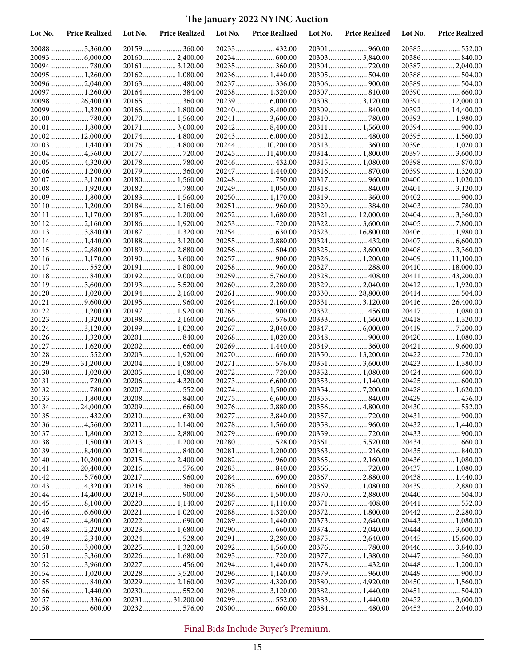| Lot No. | <b>Price Realized</b>           | Lot No. | <b>Price Realized</b>            | Lot No. | <b>Price Realized</b>             | Lot No. | <b>Price Realized</b>             | Lot No. | <b>Price Realized</b>              |
|---------|---------------------------------|---------|----------------------------------|---------|-----------------------------------|---------|-----------------------------------|---------|------------------------------------|
|         | 200883,360.00                   |         | 20159 360.00                     |         |                                   |         | 20301  960.00                     |         | 20385 552.00                       |
|         | 20093  6,000.00                 |         | 20160 2,400.00                   |         |                                   |         | 20303 3,840.00                    |         | 20386 840.00                       |
|         |                                 |         | 20161 3,120.00                   |         |                                   |         |                                   |         | 20387  2,040.00                    |
|         | 20095  1,260.00                 |         | 20162 1,080.00                   |         | 20236 1,440.00                    |         |                                   |         | 20388 504.00                       |
|         | 200962,040.00                   |         | 20163 480.00                     |         | 20237  336.00                     |         |                                   |         | 20389  504.00                      |
|         | 20097  1,260.00                 |         | 20164384.00                      |         | 20238 1,320.00                    |         | 20307  810.00                     |         |                                    |
|         | 2009826,400.00                  |         |                                  |         |                                   |         | 20308 3,120.00                    |         | 20391  12,000.00                   |
|         | 20099 1,320.00                  |         | 20166 1,800.00<br>20170 1,560.00 |         | 202408,400.00<br>20241  3,600.00  |         |                                   |         | 20392 14,400.00<br>20393 1,980.00  |
|         | 20101  1,800.00                 |         | 20171 3,600.00                   |         | 202428,400.00                     |         | 20311  1,560.00                   |         |                                    |
|         | 20102 12,000.00                 |         | 20174 4,800.00                   |         | 20243  6,000.00                   |         |                                   |         | 20395  1,560.00                    |
|         | 20103 1,440.00                  |         | 20176 4,800.00                   |         | 20244  10,200.00                  |         |                                   |         | 20396  1,020.00                    |
|         | 20104 4,560.00                  |         |                                  |         | 20245 11,400.00                   |         | 20314 1,800.00                    |         | 20397  3,600.00                    |
|         | 20105  4,320.00                 |         |                                  |         | 20246  432.00                     |         | 20315 1,080.00                    |         |                                    |
|         | 20106 1,200.00                  |         | 20179 360.00                     |         | 20247  1,440.00                   |         |                                   |         | 20399  1,320.00                    |
|         | 20107  3,120.00                 |         | 20180 1,560.00                   |         |                                   |         |                                   |         | 20400  1,020.00                    |
|         | 20108 1,920.00                  |         |                                  |         | 20249  1,050.00                   |         | 20318 840.00                      |         | 20401  3,120.00                    |
|         | 20109  1,800.00                 |         | 20183 1,560.00                   |         | 20250 1,170.00                    |         | 20319  360.00                     |         |                                    |
|         | 20110 1,200.00                  |         | 20184 2,160.00                   |         | 20251  960.00                     |         | 20320 384.00                      |         |                                    |
|         | 20111  1,170.00                 |         | 20185 1,200.00                   |         | 20252 1,680.00                    |         | 20321  12,000.00                  |         | 20404  3,360.00                    |
|         | 20112 2,160.00                  |         | 20186 1,920.00                   |         |                                   |         | 20322 3,600.00                    |         |                                    |
|         | 20113 3,840.00                  |         | 20187 1,320.00                   |         |                                   |         | 20323  16,800.00                  |         | 20406  1,980.00                    |
|         | 20114 1,440.00                  |         | 20188 3,120.00                   |         | 20255  2,880.00                   |         | 20324  432.00                     |         | 20407  6,600.00                    |
|         | 20115 2,880.00                  |         | 20189 2,880.00<br>20190 3,600.00 |         | 20256 504.00<br>20257  900.00     |         | 20325  3,600.00                   |         | 20408 3,360.00<br>20409  11,100.00 |
|         | 20116 1,170.00<br>20117  552.00 |         | 20191 1,800.00                   |         |                                   |         | 20326 1,200.00<br>20327  288.00   |         | 20410  18,000.00                   |
|         | 20118 840.00                    |         |                                  |         | 20259  5,760.00                   |         | 20328 408.00                      |         | 20411  43,200.00                   |
|         | 20119  3,600.00                 |         | 20193 5,520.00                   |         | 20260 2,280.00                    |         | 20329  2,040.00                   |         | 20412 1,920.00                     |
|         | 20120 1,020.00                  |         |                                  |         |                                   |         | 2033028,800.00                    |         |                                    |
|         | 20121  9,600.00                 |         |                                  |         | 20264 2,160.00                    |         | 20331  3,120.00                   |         | 20416  26,400.00                   |
|         | 20122 1,200.00                  |         | 20197 1,920.00                   |         |                                   |         | 20332 456.00                      |         | 20417  1,080.00                    |
|         | 20123  1,320.00                 |         | 20198 2,160.00                   |         | 20266  576.00                     |         | 20333 1,560.00                    |         | 20418 1,320.00                     |
|         | 20124 3,120.00                  |         | 20199 1,020.00                   |         | 20267  2,040.00                   |         | 20347  6,000.00                   |         |                                    |
|         | 20126 1,320.00                  |         | 20201  840.00                    |         | 20268 1,020.00                    |         |                                   |         | 20420  1,080.00                    |
|         | 20127  1,620.00                 |         | 20202 660.00                     |         | 20269  1,440.00                   |         | 20349  360.00                     |         | 20421  9,600.00                    |
|         | 20128 552.00                    |         | 20203 1,920.00                   |         |                                   |         | 20350 13,200.00                   |         |                                    |
|         | 20129  31,200.00                |         | 20204 1,080.00                   |         | 20271  576.00                     |         | 20351  3,600.00                   |         | 20423  1,380.00                    |
|         | 20130 1,020.00                  |         | 20205 1,080.00                   |         |                                   |         | 20352 1,080.00                    |         |                                    |
|         |                                 |         | 20206 4,320.00                   |         | 20273  6,600.00<br>20274 1,500.00 |         | 20353 1,140.00<br>20354  7,200.00 |         | 20425  600.00<br>20428 1,620.00    |
|         | 20133 1,800.00                  |         | 20207  552.00<br>20208 840.00    |         |                                   |         | 20355  840.00                     |         |                                    |
|         | 2013424,000.00                  |         |                                  |         | 20276  2,880.00                   |         |                                   |         |                                    |
|         | 20135  432.00                   |         |                                  |         | 20277  3,840.00                   |         |                                   |         |                                    |
|         | 20136 4,560.00                  |         | 20211 1,140.00                   |         | 20278 1,560.00                    |         |                                   |         | 20432 1,440.00                     |
|         | 20137  1,800.00                 |         | 20212 2,880.00                   |         |                                   |         |                                   |         |                                    |
|         | 20138 1,500.00                  |         | 20213 1,200.00                   |         |                                   |         |                                   |         |                                    |
|         | 201398,400.00                   |         | 20214 840.00                     |         | 20281  1,200.00                   |         |                                   |         | 20435  840.00                      |
|         | 20140 10,200.00                 |         | 202152,400.00                    |         |                                   |         |                                   |         | 20436 1,080.00                     |
|         | 20141  20,400.00                |         |                                  |         | 20283 840.00                      |         |                                   |         | 20437  1,080.00                    |
|         |                                 |         | 20217 960.00                     |         |                                   |         | 20367  2,880.00                   |         | 20438 1,440.00                     |
|         | 20143  4,320.00                 |         |                                  |         |                                   |         | 20369  1,080.00                   |         | 20439  2,880.00                    |
|         | 20144  14,400.00                |         |                                  |         | 20286 1,500.00                    |         | 20370  2,880.00                   |         | 20440 504.00                       |
|         |                                 |         | 20220 1,140.00                   |         | 20287  1,110.00                   |         | 20371  408.00                     |         |                                    |
|         | 20147  4,800.00                 |         | 20221  1,020.00<br>20222 690.00  |         | 20288 1,320.00<br>20289  1,440.00 |         | 20372 1,800.00<br>20373  2,640.00 |         | 20443  1,080.00                    |
|         | 20148 2,220.00                  |         | 20223 1,680.00                   |         |                                   |         | 20374 2,040.00                    |         | 20444  3,600.00                    |
|         | 20149  2,340.00                 |         |                                  |         | 20291  2,280.00                   |         | 20375  2,640.00                   |         | 20445  15,600.00                   |
|         | 201503,000.00                   |         | 20225 1,320.00                   |         |                                   |         |                                   |         | 20446  3,840.00                    |
|         | 20151  3,360.00                 |         | 20226 1,680.00                   |         |                                   |         | 20377  1,380.00                   |         | 20447  360.00                      |
|         | 201523,960.00                   |         |                                  |         |                                   |         | 20378 432.00                      |         | 20448  1,200.00                    |
|         | 20154 1,020.00                  |         | 20228 5,520.00                   |         |                                   |         | 20379  960.00                     |         |                                    |
|         |                                 |         | 20229  2,160.00                  |         | 20297  4,320.00                   |         | 20380 4,920.00                    |         | 20450 1,560.00                     |
|         | 20156 1,440.00                  |         |                                  |         | 202983,120.00                     |         | 20382 1,440.00                    |         | 20451  504.00                      |
|         |                                 |         | 20231  31,200.00                 |         |                                   |         | 20383 1,440.00                    |         |                                    |
|         |                                 |         | 20232 576.00                     |         |                                   |         | 20384 480.00                      |         | 20453  2,040.00                    |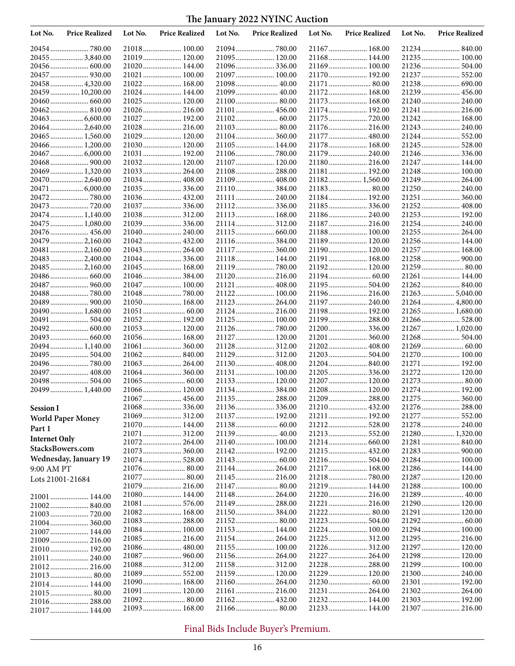| Lot No.              | <b>Price Realized</b>             | Lot No. | <b>Price Realized</b>        | Lot No. | <b>Price Realized</b>         | Lot No. | <b>Price Realized</b>          | Lot No. | <b>Price Realized</b>             |
|----------------------|-----------------------------------|---------|------------------------------|---------|-------------------------------|---------|--------------------------------|---------|-----------------------------------|
|                      |                                   |         | 21018 100.00                 |         |                               |         | 21167  168.00                  |         |                                   |
|                      | 20455  3,840.00                   |         | 21019 120.00                 |         | 21095 120.00                  |         | 21168 144.00                   |         | 21235  100.00                     |
|                      | 20456 600.00                      |         | 21020 144.00                 |         | 21096336.00                   |         | 21169 100.00                   |         | 21236 504.00                      |
|                      |                                   |         | 21021 100.00                 |         | 21097  100.00                 |         | 21170  192.00                  |         | 21237  552.00                     |
|                      | 20458 4,320.00                    |         | 21022 168.00                 |         | 21098 40.00                   |         | 21171  80.00                   |         | 21238 690.00                      |
|                      | 20459  10,200.00                  |         | 21024 144.00                 |         |                               |         | 21172 168.00                   |         | 21239  456.00                     |
|                      |                                   |         | 21025 120.00                 |         | 21100 80.00                   |         | 21173  168.00                  |         | 21240  240.00                     |
|                      | 20462 810.00                      |         | 21026 216.00                 |         | 21101  456.00                 |         | 21174  192.00                  |         | 21241  216.00                     |
|                      | 20463  6,600.00                   |         | 21027 192.00                 |         |                               |         | 21175  720.00                  |         | 21242 168.00                      |
|                      | 20464 2,640.00                    |         | 21028 216.00                 |         |                               |         | 21176  216.00                  |         | 21243  240.00                     |
|                      | 20465  1,560.00<br>20466 1,200.00 |         | 21029 120.00<br>21030 120.00 |         | 21104 360.00<br>21105 144.00  |         | 21177  480.00<br>21178  168.00 |         |                                   |
|                      | 20467  6,000.00                   |         | 21031  192.00                |         |                               |         | 21179  240.00                  |         | 21245  528.00<br>21246 336.00     |
|                      |                                   |         | 21032 120.00                 |         | 21107  120.00                 |         | 21180 216.00                   |         | 21247  144.00                     |
|                      | 20469  1,320.00                   |         | 21033 264.00                 |         | 21108 288.00                  |         | 21181  192.00                  |         | 21248 100.00                      |
|                      | 20470  2,640.00                   |         | 21034 408.00                 |         | 21109  408.00                 |         | 21182 1,560.00                 |         | 21249  264.00                     |
|                      | 20471  6,000.00                   |         | 21035336.00                  |         | 21110 384.00                  |         |                                |         | 21250 240.00                      |
|                      |                                   |         | 21036 432.00                 |         | 21111  240.00                 |         | 21184 192.00                   |         | 21251  360.00                     |
|                      | 20473  720.00                     |         |                              |         |                               |         |                                |         | 21252 408.00                      |
|                      | 20474 1,140.00                    |         | 21038 312.00                 |         | 21113 168.00                  |         | 21186 240.00                   |         | 21253  192.00                     |
|                      | 20475  1,080.00                   |         | 21039336.00                  |         | 21114 312.00                  |         | 21187  216.00                  |         | 21254  240.00                     |
|                      | 20476 456.00                      |         | 21040 240.00                 |         |                               |         | 21188 100.00                   |         | 21255  264.00                     |
|                      | 20479  2,160.00                   |         | 21042 432.00                 |         |                               |         | 21189 120.00                   |         | 21256 144.00                      |
|                      | 20481  2,160.00                   |         | 21043 264.00                 |         | 21117  360.00                 |         | 21190 120.00                   |         | 21257  168.00                     |
|                      | 20483  2,400.00                   |         | 21044336.00                  |         | 21118 144.00                  |         | 21191  168.00                  |         |                                   |
|                      | 20485  2,160.00                   |         | 21045 168.00                 |         |                               |         | 21192 120.00                   |         |                                   |
|                      |                                   |         |                              |         | 21120 216.00                  |         |                                |         | 21261  144.00                     |
|                      | 20487  960.00                     |         | 21047  100.00                |         | 21121  408.00                 |         | 21195  504.00                  |         |                                   |
|                      |                                   |         | 21048780.00<br>21050 168.00  |         | 21122 100.00<br>21123  264.00 |         | 21196 216.00<br>21197  240.00  |         | 21263  5,040.00<br>21264 4,800.00 |
|                      | 20490 1,680.00                    |         |                              |         | 21124  216.00                 |         | 21198 192.00                   |         | 21265  1,680.00                   |
|                      | 20491  504.00                     |         | 21052 192.00                 |         | 21125 100.00                  |         | 21199  288.00                  |         | 21266 528.00                      |
|                      | 20492 600.00                      |         | 21053 120.00                 |         |                               |         | 21200  336.00                  |         | 21267  1,020.00                   |
|                      | 20493  660.00                     |         | 21056 168.00                 |         | 21127  120.00                 |         | 21201  360.00                  |         | 21268 504.00                      |
|                      | 20494 1,140.00                    |         |                              |         | 21128 312.00                  |         | 21202 408.00                   |         |                                   |
|                      | 20495  504.00                     |         |                              |         | 21129  312.00                 |         |                                |         | 21270 100.00                      |
|                      |                                   |         | 21063 264.00                 |         | 21130 408.00                  |         |                                |         | 21271  192.00                     |
|                      | 20497  408.00                     |         | 21064 360.00                 |         | 21131  100.00                 |         | 21205  336.00                  |         | 21272 120.00                      |
|                      | 20498 504.00                      |         |                              |         | 21133 120.00                  |         | 21207  120.00                  |         |                                   |
|                      | 20499  1,440.00                   |         | 21066 120.00                 |         | 21134 384.00                  |         | 21208 120.00                   |         | 21274  192.00                     |
|                      |                                   |         |                              |         |                               |         | 21209  288.00                  |         |                                   |
| <b>Session I</b>     |                                   |         |                              |         |                               |         |                                |         |                                   |
|                      | <b>World Paper Money</b>          |         |                              |         | 21137 192.00                  |         | 21211  192.00                  |         |                                   |
| Part 1               |                                   |         | 21070 144.00                 |         |                               |         | 21212 528.00                   |         | 21278  240.00                     |
| <b>Internet Only</b> |                                   |         | 21072 264.00                 |         |                               |         |                                |         | 21280 1,320.00<br>21281  840.00   |
| StacksBowers.com     |                                   |         | 21073 360.00                 |         |                               |         |                                |         |                                   |
|                      | Wednesday, January 19             |         |                              |         |                               |         |                                |         | 21284 100.00                      |
| 9:00 AM PT           |                                   |         | 21076 80.00                  |         | 21144  264.00                 |         | 21217  168.00                  |         | 21286 144.00                      |
| Lots 21001-21684     |                                   |         | 21077  80.00                 |         | 21145  216.00                 |         |                                |         | 21287  120.00                     |
|                      |                                   |         | 21079 216.00                 |         |                               |         | 21219  144.00                  |         | 21288 100.00                      |
|                      | 21001  144.00                     |         | 21080 144.00                 |         | 21148 264.00                  |         | 21220  216.00                  |         | 21289  40.00                      |
|                      |                                   |         | 21081 576.00                 |         |                               |         | 21221  216.00                  |         | 21290 120.00                      |
|                      |                                   |         |                              |         |                               |         |                                |         | 21291  120.00                     |
|                      |                                   |         | 21083 288.00                 |         |                               |         |                                |         |                                   |
|                      | 21007 144.00                      |         | 21084 100.00                 |         | 21153 144.00                  |         |                                |         |                                   |
|                      | 21009  216.00                     |         |                              |         |                               |         | 21225  312.00                  |         | 21295 216.00                      |
|                      | 21010 192.00                      |         | 21086 480.00                 |         |                               |         | 21226 312.00                   |         | 21297  120.00                     |
|                      | 21011  240.00                     |         | 21087 960.00                 |         |                               |         |                                |         | 21298 120.00                      |
|                      | 21012 216.00                      |         |                              |         |                               |         | 21228  288.00                  |         | 21299  100.00                     |
|                      | 21013 80.00                       |         | 21089 552.00                 |         | 21159 120.00                  |         | 21229  120.00                  |         | 21300 240.00                      |
|                      | 21014 144.00                      |         | 21090 168.00                 |         |                               |         |                                |         |                                   |
|                      | 21015  80.00                      |         | 21091 120.00                 |         | 21162 432.00                  |         | 21231  264.00<br>21232 144.00  |         | 21302 264.00<br>21303 192.00      |
|                      | 21016 288.00                      |         | 21093 168.00                 |         |                               |         | 21233  144.00                  |         | 21307  216.00                     |
|                      | 21017 144.00                      |         |                              |         |                               |         |                                |         |                                   |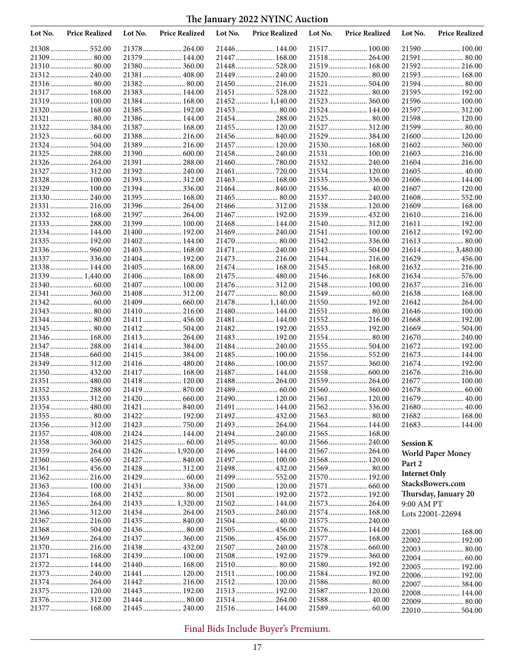| Lot No. | <b>Price Realized</b>         | Lot No. | <b>Price Realized</b>        | Lot No. | <b>Price Realized</b>           | Lot No. | <b>Price Realized</b>          | Lot No.              | <b>Price Realized</b>         |
|---------|-------------------------------|---------|------------------------------|---------|---------------------------------|---------|--------------------------------|----------------------|-------------------------------|
|         |                               |         |                              |         |                                 |         | 21517 100.00                   |                      | 21590 100.00                  |
|         |                               |         | 21379 144.00                 |         | 21447  168.00                   |         | 21518 264.00                   |                      | 21591  80.00                  |
|         |                               |         | 21380 360.00                 |         | 21448 528.00                    |         | 21519 168.00                   |                      | 21592 216.00                  |
|         | 21312 240.00                  |         | 21381  408.00                |         | 21449  240.00                   |         | 21520  80.00                   |                      | 21593 168.00                  |
|         |                               |         |                              |         |                                 |         |                                |                      | 21594 80.00                   |
|         | 21317  168.00<br>21319 100.00 |         | 21383 144.00<br>21384 168.00 |         | 21451  528.00<br>21452 1,140.00 |         |                                |                      | 21595 192.00<br>21596 100.00  |
|         | 21320  168.00                 |         | 21385 192.00                 |         |                                 |         | 21523  360.00<br>21524  144.00 |                      | 21597  312.00                 |
|         |                               |         | 21386 144.00                 |         | 21454 288.00                    |         |                                |                      | 21598 120.00                  |
|         | 21322384.00                   |         | 21387 168.00                 |         | 21455 120.00                    |         | 21527  312.00                  |                      | 21599  80.00                  |
|         |                               |         | 21388 216.00                 |         |                                 |         | 21529  384.00                  |                      | 21600 120.00                  |
|         | 21324  504.00                 |         | 21389 216.00                 |         | 21457 120.00                    |         | 21530 168.00                   |                      | 21602 360.00                  |
|         | 21325  288.00                 |         |                              |         | 21458 240.00                    |         | 21531  100.00                  |                      | 21603 216.00                  |
|         | 21326 264.00                  |         | 21391  288.00                |         |                                 |         | 21532 240.00                   |                      | 21604 216.00                  |
|         | 21327  312.00                 |         | 21392 240.00                 |         |                                 |         | 21534 120.00                   |                      |                               |
|         | 21328  100.00                 |         |                              |         | 21463  168.00                   |         | 21535 336.00                   |                      | 21606 144.00                  |
|         | 21329  100.00                 |         | 21394336.00                  |         |                                 |         |                                |                      | 21607  120.00                 |
|         | 21330 240.00                  |         | 21395 168.00                 |         | 21465  80.00                    |         |                                |                      | 21608 552.00                  |
|         | 21331  216.00<br>21332 168.00 |         | 21396 264.00                 |         |                                 |         | 21538 120.00                   |                      | 21609 168.00                  |
|         | 21333  288.00                 |         | 21397 264.00<br>21399 100.00 |         | 21467  192.00<br>21468 144.00   |         | 21540 312.00                   |                      | 21610 216.00<br>21611  192.00 |
|         | 21334 144.00                  |         | 21400 192.00                 |         | 21469  240.00                   |         | 21541  100.00                  |                      | 21612 192.00                  |
|         | 21335 192.00                  |         | 21402 144.00                 |         |                                 |         |                                |                      |                               |
|         |                               |         | 21403 168.00                 |         | 21471  240.00                   |         | 21543  504.00                  |                      | 216143,480.00                 |
|         | 21337  336.00                 |         | 21404 192.00                 |         | 21473  216.00                   |         | 21544  216.00                  |                      | 21629  456.00                 |
|         | 21338 144.00                  |         | 21405 168.00                 |         | 21474  168.00                   |         | 21545  168.00                  |                      | 21632 216.00                  |
|         | 21339  1,440.00               |         | 21406 168.00                 |         |                                 |         | 21546 168.00                   |                      | 21634 576.00                  |
|         |                               |         | 21407 100.00                 |         | 21476 312.00                    |         | 21548 100.00                   |                      | 21637  216.00                 |
|         | 21341  360.00                 |         | 21408 312.00                 |         | 21477  80.00                    |         |                                |                      | 21638 168.00                  |
|         |                               |         |                              |         | 21478  1,140.00                 |         | 21550 192.00                   |                      | 21642 264.00                  |
|         |                               |         | 21410 216.00                 |         | 21480 144.00                    |         | 21551  80.00                   |                      | 21646 100.00                  |
|         | 21344 80.00                   |         | 21411  456.00                |         | 21481  144.00                   |         | 21552 216.00                   |                      | 21668 192.00                  |
|         | 21346  168.00                 |         | 21412 504.00<br>21413 264.00 |         | 21482 192.00<br>21483 192.00    |         | 21553 192.00                   |                      | 21669 504.00<br>21670  240.00 |
|         | 21347  288.00                 |         |                              |         | 21484 240.00                    |         | 21555  504.00                  |                      | 21672 192.00                  |
|         |                               |         |                              |         | 21485 100.00                    |         |                                |                      | 21673  144.00                 |
|         | 21349  312.00                 |         | 21416 480.00                 |         | 21486 100.00                    |         | 21557  360.00                  |                      | 21674 192.00                  |
|         |                               |         | 21417  168.00                |         | 21487  144.00                   |         | 21558 600.00                   |                      | 21676  216.00                 |
|         | 21351  480.00                 |         | 21418 120.00                 |         | 21488 264.00                    |         | 21559  264.00                  |                      | 21677  100.00                 |
|         | 21352 288.00                  |         |                              |         |                                 |         | 21560 360.00                   |                      |                               |
|         | 21353 312.00                  |         |                              |         |                                 |         | 21561  120.00                  |                      | 21679  40.00                  |
|         |                               |         |                              |         | 21491  144.00                   |         |                                |                      |                               |
|         | 21355 80.00                   |         |                              |         |                                 |         |                                |                      |                               |
|         |                               |         |                              |         |                                 |         | 21564 144.00                   |                      |                               |
|         |                               |         | 21424 144.00                 |         |                                 |         | 21565 168.00                   |                      |                               |
|         | 21358 360.00                  |         |                              |         |                                 |         | 21566 240.00<br>21567  264.00  | <b>Session K</b>     |                               |
|         | 21360 456.00                  |         |                              |         |                                 |         | 21568 120.00                   |                      | <b>World Paper Money</b>      |
|         |                               |         |                              |         |                                 |         |                                | Part 2               |                               |
|         | 21362 216.00                  |         |                              |         | 21499  552.00                   |         | 21570 192.00                   | <b>Internet Only</b> |                               |
|         |                               |         | 21431  336.00                |         | 21500 120.00                    |         | 21571  660.00                  |                      | StacksBowers.com              |
|         | 21364 168.00                  |         |                              |         |                                 |         | 21572 192.00                   |                      | Thursday, January 20          |
|         | 21365 264.00                  |         | 21433 1,320.00               |         | 21502 144.00                    |         | 21573  264.00                  | 9:00 AM PT           |                               |
|         |                               |         |                              |         | 21503 240.00                    |         | 21574 168.00                   | Lots 22001-22694     |                               |
|         | 21367  216.00                 |         | 21435 840.00                 |         | 21504 40.00                     |         | 21575  240.00                  |                      |                               |
|         | 21368 504.00                  |         |                              |         |                                 |         | 21576 144.00                   |                      | 22001  168.00                 |
|         |                               |         |                              |         | 21506 456.00                    |         | 21577  168.00                  |                      | 22002 192.00                  |
|         | 21370 216.00                  |         |                              |         | 21507  240.00                   |         |                                |                      | 22003 80.00                   |
|         | 21371  168.00<br>21372 144.00 |         | 21439 100.00                 |         | 21508 192.00                    |         | 21579  360.00<br>21580 192.00  |                      | 22004 60.00                   |
|         |                               |         | 21441  120.00                |         |                                 |         | 21584 192.00                   |                      | 22005 192.00<br>22006 192.00  |
|         |                               |         |                              |         |                                 |         |                                |                      |                               |
|         |                               |         |                              |         |                                 |         |                                |                      |                               |
|         |                               |         | 21442 216.00                 |         | 21512 120.00                    |         | 21586 80.00                    |                      | 22007  384.00                 |
|         | 21375  120.00                 |         | 21443 192.00                 |         |                                 |         | 21587  120.00                  |                      | 22008 144.00<br>22009 80.00   |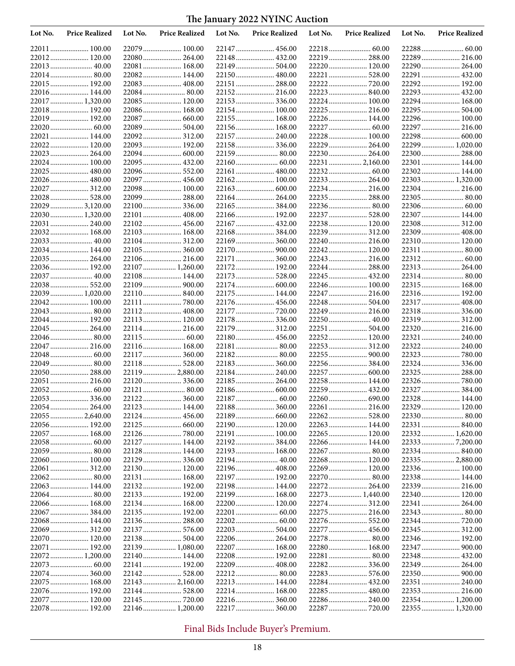| Lot No. | <b>Price Realized</b>         | Lot No. | <b>Price Realized</b>        | Lot No. | <b>Price Realized</b>          | Lot No. | <b>Price Realized</b>         | Lot No. | <b>Price Realized</b>        |
|---------|-------------------------------|---------|------------------------------|---------|--------------------------------|---------|-------------------------------|---------|------------------------------|
|         |                               |         | 22079 100.00                 |         | 22147  456.00                  |         |                               |         |                              |
|         | 22012 120.00                  |         | 22080 264.00                 |         | 22148  432.00                  |         | 22219  288.00                 |         | 22289  216.00                |
|         | 22013  40.00                  |         | 22081 168.00                 |         | 22149  504.00                  |         | 22220  120.00                 |         | 22290  264.00                |
|         |                               |         | 22082 144.00                 |         | 22150 480.00                   |         | 22221  528.00                 |         | 22291  432.00                |
|         | 22015 192.00                  |         | 22083 408.00                 |         | 22151  288.00                  |         |                               |         | 22292 192.00                 |
|         | 22016 144.00                  |         |                              |         | 22152 216.00                   |         |                               |         | 22293  432.00                |
|         | 22017  1,320.00               |         | 22085 120.00                 |         | 22153 336.00                   |         | 22224  100.00                 |         | 22294 168.00                 |
|         | 22018 192.00                  |         | 22086 168.00                 |         | 22154 100.00                   |         | 22225  216.00                 |         | 22295  504.00                |
|         | 22019 192.00                  |         | 22087  660.00                |         |                                |         |                               |         |                              |
|         |                               |         | 22089 504.00                 |         | 22156 168.00                   |         |                               |         | 22297  216.00                |
|         | 22021  144.00                 |         |                              |         | 22157  240.00                  |         | 22228 100.00                  |         |                              |
|         | 22022 120.00                  |         | 22093 192.00                 |         | 22158 336.00                   |         | 22229  264.00                 |         | 22299  1,020.00              |
|         | 22023  264.00                 |         | 22094 600.00                 |         |                                |         | 22230 264.00                  |         | 22300  288.00                |
|         | 22024 100.00                  |         | 22095 432.00                 |         |                                |         | 22231  2,160.00               |         | 22301  144.00                |
|         | 22025  480.00                 |         | 22096 552.00                 |         | 22161  480.00                  |         |                               |         | 22302 144.00                 |
|         | 22026  480.00                 |         | 22097  456.00                |         |                                |         | 22233  264.00                 |         | 22303 1,320.00               |
|         | 22027  312.00                 |         | 22098 100.00                 |         |                                |         | 22234  216.00                 |         | 22304 216.00                 |
|         | 22028  528.00                 |         | 22099 288.00                 |         | 22164 264.00                   |         | 22235  288.00                 |         | 22305  80.00                 |
|         | 22029  3,120.00               |         |                              |         | 22165  384.00                  |         |                               |         |                              |
|         | 22030  1,320.00               |         | 22101  408.00                |         |                                |         | 22237  528.00                 |         | 22307  144.00                |
|         | 22031  240.00                 |         | 22102 456.00                 |         | 22167  432.00                  |         | 22238 120.00                  |         | 22308 312.00                 |
|         | 22032 168.00                  |         | 22103 168.00                 |         | 22168 384.00                   |         | 22239  312.00                 |         | 22309  408.00                |
|         | 22033 40.00                   |         |                              |         | 22169  360.00<br>22170  900.00 |         | 22240  216.00                 |         | 22310 120.00<br>22311  80.00 |
|         | 22034 144.00<br>22035  264.00 |         | 22105 360.00<br>22106 216.00 |         |                                |         | 22242 120.00<br>22243  216.00 |         |                              |
|         | 22036 192.00                  |         | 22107  1,260.00              |         | 22171  360.00<br>22172 192.00  |         |                               |         | 22313 264.00                 |
|         | 22037  40.00                  |         | 22108 144.00                 |         | 22173  528.00                  |         |                               |         | 22314 80.00                  |
|         | 22038 552.00                  |         |                              |         |                                |         | 22246 100.00                  |         | 22315  168.00                |
|         | 22039  1,020.00               |         | 22110 840.00                 |         | 22175  144.00                  |         | 22247  216.00                 |         | 22316 192.00                 |
|         | 22042 100.00                  |         |                              |         | 22176  456.00                  |         | 22248  504.00                 |         | 22317  408.00                |
|         | 22043  80.00                  |         | 22112 408.00                 |         |                                |         | 22249  216.00                 |         | 22318 336.00                 |
|         | 22044 192.00                  |         | 22113 120.00                 |         | 22178  336.00                  |         |                               |         | 22319 312.00                 |
|         | 22045  264.00                 |         | 22114 216.00                 |         | 22179  312.00                  |         | 22251  504.00                 |         | 22320  216.00                |
|         |                               |         |                              |         | 22180 456.00                   |         | 22252 120.00                  |         | 22321  240.00                |
|         | 22047  216.00                 |         | 22116 168.00                 |         | 22181  80.00                   |         |                               |         | 22322 240.00                 |
|         |                               |         | 22117  360.00                |         | 22182 80.00                    |         |                               |         | 22323  780.00                |
|         | 22049  80.00                  |         | 22118 528.00                 |         | 22183  360.00                  |         |                               |         | 22324  336.00                |
|         | 22050 288.00                  |         | 22119 2,880.00               |         | 22184 240.00                   |         | 22257  600.00                 |         | 22325  288.00                |
|         | 22051  216.00                 |         | 22120 336.00                 |         | 22185 264.00                   |         | 22258 144.00                  |         |                              |
|         |                               |         |                              |         |                                |         | 22259  432.00                 |         | 22327  384.00                |
|         |                               |         | 22122 360.00                 |         |                                |         |                               |         | 22328 144.00                 |
|         |                               |         | 22123 144.00                 |         | 22188 360.00                   |         |                               |         | 22329 120.00                 |
|         | 22055  2,640.00               |         |                              |         |                                |         |                               |         |                              |
|         |                               |         |                              |         | 22190 120.00                   |         | 22263  144.00                 |         |                              |
|         |                               |         |                              |         |                                |         | 22265  120.00                 |         | 22332 1,620.00               |
|         |                               |         | 22127 144.00                 |         |                                |         | 22266 144.00                  |         |                              |
|         |                               |         | 22128 144.00                 |         | 22193 168.00                   |         |                               |         |                              |
|         |                               |         |                              |         |                                |         | 22268 120.00                  |         | 22335  2,880.00              |
|         | 22061  312.00                 |         | 22130 120.00                 |         | 22196 408.00                   |         | 22269  120.00                 |         | 22336 100.00                 |
|         |                               |         | 22131 168.00                 |         | 22197  192.00                  |         | 22270  80.00                  |         | 22338 144.00                 |
|         | 22063 144.00                  |         | 22132 192.00                 |         | 22198 144.00                   |         | 22272 264.00                  |         | 22339  216.00                |
|         |                               |         |                              |         | 22199 168.00                   |         | 22273  1,440.00               |         | 22340  120.00                |
|         | 22066 168.00                  |         | 22134 168.00                 |         | 22200 120.00                   |         | 22274 312.00                  |         | 22341  264.00                |
|         |                               |         |                              |         |                                |         | 22275  216.00                 |         |                              |
|         | 22068 144.00                  |         |                              |         |                                |         |                               |         |                              |
|         |                               |         |                              |         |                                |         | 22277  456.00                 |         |                              |
|         | 22070 120.00                  |         |                              |         | 22206 264.00                   |         | 22278 80.00                   |         | 22346  192.00                |
|         | 22071  192.00                 |         | 22139 1,080.00               |         | 22207 168.00                   |         | 22280 168.00                  |         |                              |
|         | 22072 1,200.00                |         | 22140 144.00                 |         |                                |         |                               |         | 22348  432.00                |
|         | 22074 360.00                  |         |                              |         | 22209  408.00                  |         | 22283  576.00                 |         | 22349  264.00                |
|         | 22075 168.00                  |         | 22143 2,160.00               |         | 22213  144.00                  |         | 22284 432.00                  |         | 22351  240.00                |
|         | 22076 192.00                  |         |                              |         |                                |         | 22285  480.00                 |         | 22353 216.00                 |
|         | 22077  120.00                 |         | 22145  720.00                |         |                                |         | 22286 240.00                  |         | 22354 1,200.00               |
|         | 22078  192.00                 |         | 22146 1,200.00               |         | 22217  360.00                  |         | 22287  720.00                 |         | 22355  1,320.00              |
|         |                               |         |                              |         |                                |         |                               |         |                              |